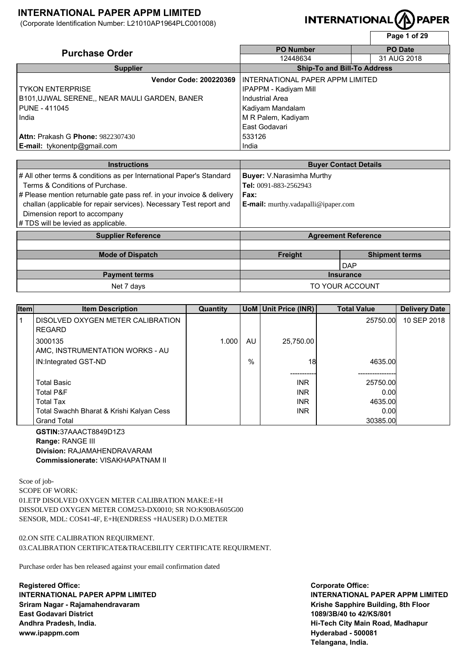(Corporate Identification Number: L21010AP1964PLC001008)

# **INTERNATIONAL**

|                                               |                                    | Page 1 of 29   |
|-----------------------------------------------|------------------------------------|----------------|
| <b>Purchase Order</b>                         | <b>PO Number</b>                   | <b>PO</b> Date |
|                                               | 12448634                           | 31 AUG 2018    |
| <b>Supplier</b>                               | <b>Ship-To and Bill-To Address</b> |                |
| <b>Vendor Code: 200220369</b>                 | INTERNATIONAL PAPER APPM LIMITED   |                |
| <b>TYKON ENTERPRISE</b>                       | IPAPPM - Kadiyam Mill              |                |
| B101, UJWAL SERENE,, NEAR MAULI GARDEN, BANER | Industrial Area                    |                |
| PUNE - 411045                                 | Kadiyam Mandalam                   |                |
| India                                         | M R Palem, Kadiyam                 |                |
|                                               | East Godavari                      |                |
| <b>Attn: Prakash G Phone: 9822307430</b>      | 533126                             |                |
| <b>E-mail:</b> tykonentp@gmail.com            | India                              |                |

| <b>Instructions</b>                                                   |                                            | <b>Buyer Contact Details</b> |  |
|-----------------------------------------------------------------------|--------------------------------------------|------------------------------|--|
| # All other terms & conditions as per International Paper's Standard  | <b>Buyer:</b> V.Narasimha Murthy           |                              |  |
| Terms & Conditions of Purchase.                                       | Tel: 0091-883-2562943                      |                              |  |
| # Please mention returnable gate pass ref. in your invoice & delivery | Fax:                                       |                              |  |
| challan (applicable for repair services). Necessary Test report and   | <b>E-mail:</b> murthy.vadapalli@ipaper.com |                              |  |
| Dimension report to accompany                                         |                                            |                              |  |
| # TDS will be levied as applicable.                                   |                                            |                              |  |
| <b>Supplier Reference</b>                                             | <b>Agreement Reference</b>                 |                              |  |
|                                                                       |                                            |                              |  |
| <b>Mode of Dispatch</b>                                               | <b>Freight</b>                             | <b>Shipment terms</b>        |  |
|                                                                       |                                            | <b>DAP</b>                   |  |
|                                                                       | <b>Insurance</b>                           |                              |  |
| <b>Payment terms</b>                                                  |                                            |                              |  |

| <b>Item</b>  | <b>Item Description</b>                            | Quantity |     | UoM Unit Price (INR) | <b>Total Value</b> | <b>Delivery Date</b> |
|--------------|----------------------------------------------------|----------|-----|----------------------|--------------------|----------------------|
| $\mathbf{1}$ | DISOLVED OXYGEN METER CALIBRATION<br><b>REGARD</b> |          |     |                      | 25750.00           | 10 SEP 2018          |
|              | 3000135<br>AMC, INSTRUMENTATION WORKS - AU         | 1.000    | AU. | 25.750.00            |                    |                      |
|              | IN:Integrated GST-ND                               |          | %   | 18                   | 4635.00            |                      |
|              | <b>Total Basic</b>                                 |          |     | <b>INR</b>           | 25750.00           |                      |
|              | <b>Total P&amp;F</b>                               |          |     | <b>INR</b>           | 0.00               |                      |
|              | <b>Total Tax</b>                                   |          |     | <b>INR</b>           | 4635.00            |                      |
|              | Total Swachh Bharat & Krishi Kalyan Cess           |          |     | <b>INR</b>           | 0.00               |                      |
|              | <b>Grand Total</b>                                 |          |     |                      | 30385.00           |                      |

**GSTIN:**37AAACT8849D1Z3 **Range:** RANGE III **Division:** RAJAMAHENDRAVARAM **Commissionerate:** VISAKHAPATNAM II

Scoe of job-SCOPE OF WORK: 01.ETP DISOLVED OXYGEN METER CALIBRATION MAKE:E+H DISSOLVED OXYGEN METER COM253-DX0010; SR NO:K90BA605G00 SENSOR, MDL: COS41-4F, E+H(ENDRESS +HAUSER) D.O.METER

02.ON SITE CALIBRATION REQUIRMENT.

03.CALIBRATION CERTIFICATE&TRACEBILITY CERTIFICATE REQUIRMENT.

Purchase order has ben released against your email confirmation dated

**Registered Office: INTERNATIONAL PAPER APPM LIMITED Sriram Nagar - Rajamahendravaram East Godavari District Andhra Pradesh, India. www.ipappm.com**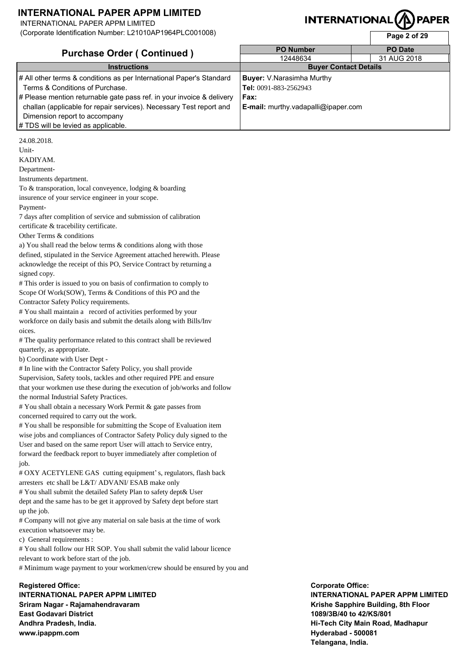To & transporation, local conveyence, lodging & boarding

7 days after complition of service and submission of calibration

a) You shall read the below terms & conditions along with those defined, stipulated in the Service Agreement attached herewith. Please acknowledge the receipt of this PO, Service Contract by returning a

# This order is issued to you on basis of confirmation to comply to Scope Of Work(SOW), Terms & Conditions of this PO and the

# The quality performance related to this contract shall be reviewed

# You shall maintain a record of activities performed by your workforce on daily basis and submit the details along with Bills/Inv

# In line with the Contractor Safety Policy, you shall provide Supervision, Safety tools, tackles and other required PPE and ensure that your workmen use these during the execution of job/works and follow

insurence of your service engineer in your scope.

INTERNATIONAL PAPER APPM LIMITED

Unit-KADIYAM. Department-

Payment-

signed copy.

oices.

Instruments department.

certificate & tracebility certificate. Other Terms & conditions

Contractor Safety Policy requirements.

the normal Industrial Safety Practices.

quarterly, as appropriate. b) Coordinate with User Dept -

(Corporate Identification Number: L21010AP1964PLC001008)

# **INTERNATIONAL**

**Page 2 of 29** 

| <b>Purchase Order (Continued)</b>                                     | <b>PO Number</b>                           | <b>PO Date</b> |
|-----------------------------------------------------------------------|--------------------------------------------|----------------|
|                                                                       | 12448634                                   | 31 AUG 2018    |
| <b>Instructions</b>                                                   | <b>Buyer Contact Details</b>               |                |
| # All other terms & conditions as per International Paper's Standard  | <b>Buyer:</b> V.Narasimha Murthy           |                |
| Terms & Conditions of Purchase.                                       | Tel: 0091-883-2562943                      |                |
| # Please mention returnable gate pass ref. in your invoice & delivery | Fax:                                       |                |
| challan (applicable for repair services). Necessary Test report and   | <b>E-mail:</b> murthy.vadapalli@ipaper.com |                |
| Dimension report to accompany                                         |                                            |                |
| # TDS will be levied as applicable.                                   |                                            |                |
| 24.08.2018.                                                           |                                            |                |

# You shall obtain a necessary Work Permit & gate passes from concerned required to carry out the work. # You shall be responsible for submitting the Scope of Evaluation item wise jobs and compliances of Contractor Safety Policy duly signed to the User and based on the same report User will attach to Service entry,

forward the feedback report to buyer immediately after completion of job.

# OXY ACETYLENE GAS cutting equipment's, regulators, flash back arresters etc shall be L&T/ ADVANI/ ESAB make only

# You shall submit the detailed Safety Plan to safety dept& User dept and the same has to be get it approved by Safety dept before start up the job.

# Company will not give any material on sale basis at the time of work execution whatsoever may be.

c) General requirements :

# You shall follow our HR SOP. You shall submit the valid labour licence relevant to work before start of the job.

# Minimum wage payment to your workmen/crew should be ensured by you and

**Registered Office: INTERNATIONAL PAPER APPM LIMITED Sriram Nagar - Rajamahendravaram East Godavari District Andhra Pradesh, India. www.ipappm.com**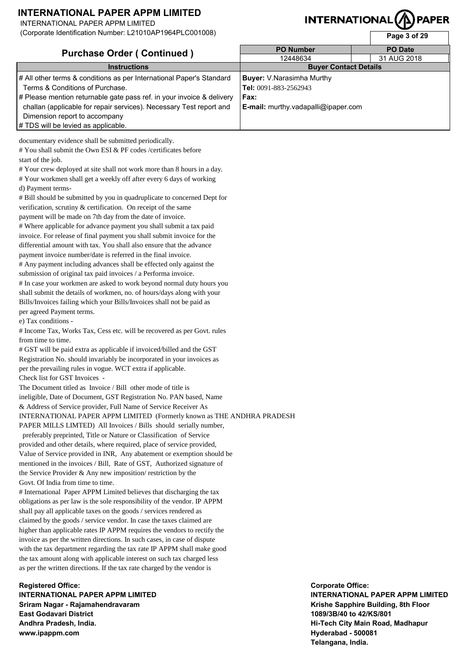INTERNATIONAL PAPER APPM LIMITED

(Corporate Identification Number: L21010AP1964PLC001008)

# **INTERNATIONAL**

**Page 3 of 29** 

| <b>Purchase Order (Continued)</b>                                     | <b>PO Number</b>                    | <b>PO</b> Date |
|-----------------------------------------------------------------------|-------------------------------------|----------------|
|                                                                       | 12448634                            | 31 AUG 2018    |
| <b>Instructions</b>                                                   | <b>Buyer Contact Details</b>        |                |
| # All other terms & conditions as per International Paper's Standard  | <b>Buyer:</b> V.Narasimha Murthy    |                |
| Terms & Conditions of Purchase.                                       | Tel: 0091-883-2562943               |                |
| # Please mention returnable gate pass ref. in your invoice & delivery | Fax:                                |                |
| challan (applicable for repair services). Necessary Test report and   | E-mail: murthy.vadapalli@ipaper.com |                |
| Dimension report to accompany                                         |                                     |                |
| # TDS will be levied as applicable.                                   |                                     |                |
|                                                                       |                                     |                |

documentary evidence shall be submitted periodically.

# You shall submit the Own ESI & PF codes /certificates before start of the job.

# Your crew deployed at site shall not work more than 8 hours in a day.

# Your workmen shall get a weekly off after every 6 days of working d) Payment terms-

# Bill should be submitted by you in quadruplicate to concerned Dept for verification, scrutiny & certification. On receipt of the same payment will be made on 7th day from the date of invoice.

# Where applicable for advance payment you shall submit a tax paid invoice. For release of final payment you shall submit invoice for the differential amount with tax. You shall also ensure that the advance payment invoice number/date is referred in the final invoice. # Any payment including advances shall be effected only against the submission of original tax paid invoices / a Performa invoice. # In case your workmen are asked to work beyond normal duty hours you shall submit the details of workmen, no. of hours/days along with your Bills/Invoices failing which your Bills/Invoices shall not be paid as per agreed Payment terms.

e) Tax conditions -

# Income Tax, Works Tax, Cess etc. will be recovered as per Govt. rules from time to time.

# GST will be paid extra as applicable if invoiced/billed and the GST Registration No. should invariably be incorporated in your invoices as per the prevailing rules in vogue. WCT extra if applicable. Check list for GST Invoices -

The Document titled as Invoice / Bill other mode of title is ineligible, Date of Document, GST Registration No. PAN based, Name & Address of Service provider, Full Name of Service Receiver As INTERNATIONAL PAPER APPM LIMITED (Formerly known as THE ANDHRA PRADESH PAPER MILLS LIMTED) All Invoices / Bills should serially number,

 preferably preprinted, Title or Nature or Classification of Service provided and other details, where required, place of service provided, Value of Service provided in INR, Any abatement or exemption should be mentioned in the invoices / Bill, Rate of GST, Authorized signature of the Service Provider & Any new imposition/ restriction by the Govt. Of India from time to time.

# International Paper APPM Limited believes that discharging the tax obligations as per law is the sole responsibility of the vendor. IP APPM shall pay all applicable taxes on the goods / services rendered as claimed by the goods / service vendor. In case the taxes claimed are higher than applicable rates IP APPM requires the vendors to rectify the invoice as per the written directions. In such cases, in case of dispute with the tax department regarding the tax rate IP APPM shall make good the tax amount along with applicable interest on such tax charged less as per the written directions. If the tax rate charged by the vendor is

**Registered Office: INTERNATIONAL PAPER APPM LIMITED Sriram Nagar - Rajamahendravaram East Godavari District Andhra Pradesh, India. www.ipappm.com**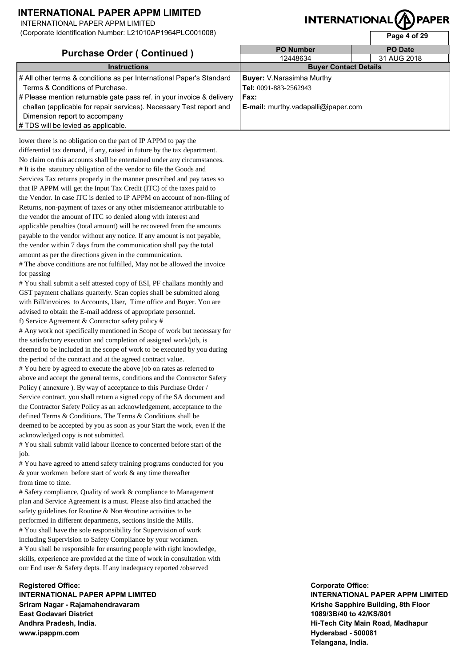INTERNATIONAL PAPER APPM LIMITED

(Corporate Identification Number: L21010AP1964PLC001008)

# **INTERNATIONAL**

**Page 4 of 29** 

| <b>Purchase Order (Continued)</b>                                     | <b>PO Number</b>                           | <b>PO Date</b> |
|-----------------------------------------------------------------------|--------------------------------------------|----------------|
|                                                                       | 12448634                                   | 31 AUG 2018    |
| <b>Instructions</b>                                                   | <b>Buyer Contact Details</b>               |                |
| # All other terms & conditions as per International Paper's Standard  | <b>Buyer:</b> V.Narasimha Murthy           |                |
| Terms & Conditions of Purchase.                                       | Tel: 0091-883-2562943                      |                |
| # Please mention returnable gate pass ref. in your invoice & delivery | Fax:                                       |                |
| challan (applicable for repair services). Necessary Test report and   | <b>E-mail:</b> murthy.vadapalli@ipaper.com |                |
| Dimension report to accompany                                         |                                            |                |
| # TDS will be levied as applicable.                                   |                                            |                |

lower there is no obligation on the part of IP APPM to pay the differential tax demand, if any, raised in future by the tax department. No claim on this accounts shall be entertained under any circumstances. # It is the statutory obligation of the vendor to file the Goods and Services Tax returns properly in the manner prescribed and pay taxes so that IP APPM will get the Input Tax Credit (ITC) of the taxes paid to the Vendor. In case ITC is denied to IP APPM on account of non-filing of Returns, non-payment of taxes or any other misdemeanor attributable to the vendor the amount of ITC so denied along with interest and applicable penalties (total amount) will be recovered from the amounts payable to the vendor without any notice. If any amount is not payable, the vendor within 7 days from the communication shall pay the total amount as per the directions given in the communication. # The above conditions are not fulfilled, May not be allowed the invoice

for passing

# You shall submit a self attested copy of ESI, PF challans monthly and GST payment challans quarterly. Scan copies shall be submitted along with Bill/invoices to Accounts, User, Time office and Buyer. You are advised to obtain the E-mail address of appropriate personnel.

f) Service Agreement & Contractor safety policy #

# Any work not specifically mentioned in Scope of work but necessary for the satisfactory execution and completion of assigned work/job, is deemed to be included in the scope of work to be executed by you during

the period of the contract and at the agreed contract value. # You here by agreed to execute the above job on rates as referred to above and accept the general terms, conditions and the Contractor Safety Policy ( annexure ). By way of acceptance to this Purchase Order / Service contract, you shall return a signed copy of the SA document and the Contractor Safety Policy as an acknowledgement, acceptance to the defined Terms & Conditions. The Terms & Conditions shall be deemed to be accepted by you as soon as your Start the work, even if the acknowledged copy is not submitted.

# You shall submit valid labour licence to concerned before start of the job.

# You have agreed to attend safety training programs conducted for you & your workmen before start of work & any time thereafter from time to time.

# Safety compliance, Quality of work & compliance to Management plan and Service Agreement is a must. Please also find attached the safety guidelines for Routine & Non #routine activities to be performed in different departments, sections inside the Mills. # You shall have the sole responsibility for Supervision of work including Supervision to Safety Compliance by your workmen. # You shall be responsible for ensuring people with right knowledge, skills, experience are provided at the time of work in consultation with our End user & Safety depts. If any inadequacy reported /observed

**Registered Office: INTERNATIONAL PAPER APPM LIMITED Sriram Nagar - Rajamahendravaram East Godavari District Andhra Pradesh, India. www.ipappm.com**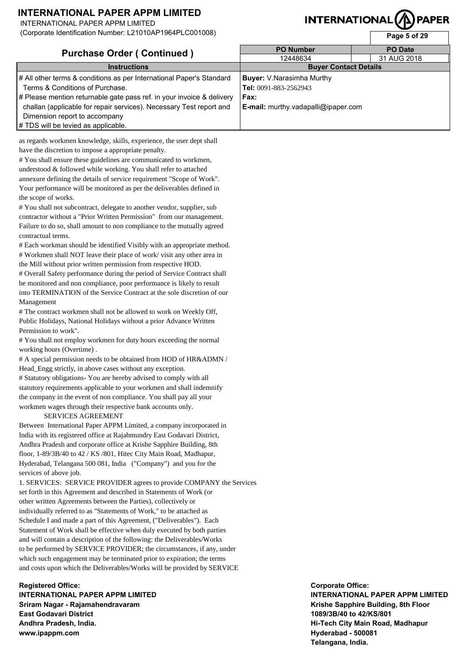INTERNATIONAL PAPER APPM LIMITED

(Corporate Identification Number: L21010AP1964PLC001008)

# **INTERNATIONA**

**Page 5 of 29** 

| <b>Purchase Order (Continued)</b>                                     | <b>PO Number</b>                           | <b>PO</b> Date |
|-----------------------------------------------------------------------|--------------------------------------------|----------------|
|                                                                       | 12448634                                   | 31 AUG 2018    |
| <b>Instructions</b>                                                   | <b>Buyer Contact Details</b>               |                |
| # All other terms & conditions as per International Paper's Standard  | <b>Buyer:</b> V.Narasimha Murthy           |                |
| Terms & Conditions of Purchase.                                       | Tel: 0091-883-2562943                      |                |
| # Please mention returnable gate pass ref. in your invoice & delivery | Fax:                                       |                |
| challan (applicable for repair services). Necessary Test report and   | <b>E-mail:</b> murthy.vadapalli@ipaper.com |                |
| Dimension report to accompany                                         |                                            |                |
| # TDS will be levied as applicable.                                   |                                            |                |

as regards workmen knowledge, skills, experience, the user dept shall have the discretion to impose a appropriate penalty.

# You shall ensure these guidelines are communicated to workmen, understood & followed while working. You shall refer to attached annexure defining the details of service requirement "Scope of Work". Your performance will be monitored as per the deliverables defined in the scope of works.

# You shall not subcontract, delegate to another vendor, supplier, sub contractor without a "Prior Written Permission" from our management. Failure to do so, shall amount to non compliance to the mutually agreed contractual terms.

# Each workman should be identified Visibly with an appropriate method. # Workmen shall NOT leave their place of work/ visit any other area in the Mill without prior written permission from respective HOD.

# Overall Safety performance during the period of Service Contract shall be monitored and non compliance, poor performance is likely to result into TERMINATION of the Service Contract at the sole discretion of our Management

# The contract workmen shall not be allowed to work on Weekly Off, Public Holidays, National Holidays without a prior Advance Written Permission to work".

# You shall not employ workmen for duty hours exceeding the normal working hours (Overtime) .

# A special permission needs to be obtained from HOD of HR&ADMN / Head\_Engg strictly, in above cases without any exception. # Statutory obligations- You are hereby advised to comply with all statutory requirements applicable to your workmen and shall indemnify

the company in the event of non compliance. You shall pay all your workmen wages through their respective bank accounts only.

### SERVICES AGREEMENT

Between International Paper APPM Limited, a company incorporated in India with its registered office at Rajahmundry East Godavari District, Andhra Pradesh and corporate office at Krishe Sapphire Building, 8th floor, 1-89/3B/40 to 42 / KS /801, Hitec City Main Road, Madhapur, Hyderabad, Telangana 500 081, India ("Company") and you for the services of above job.

1. SERVICES: SERVICE PROVIDER agrees to provide COMPANY the Services set forth in this Agreement and described in Statements of Work (or other written Agreements between the Parties), collectively or individually referred to as "Statements of Work," to be attached as Schedule I and made a part of this Agreement, ("Deliverables"). Each Statement of Work shall be effective when duly executed by both parties and will contain a description of the following: the Deliverables/Works to be performed by SERVICE PROVIDER; the circumstances, if any, under which such engagement may be terminated prior to expiration; the terms and costs upon which the Deliverables/Works will be provided by SERVICE

### **Registered Office: INTERNATIONAL PAPER APPM LIMITED Sriram Nagar - Rajamahendravaram East Godavari District Andhra Pradesh, India. www.ipappm.com**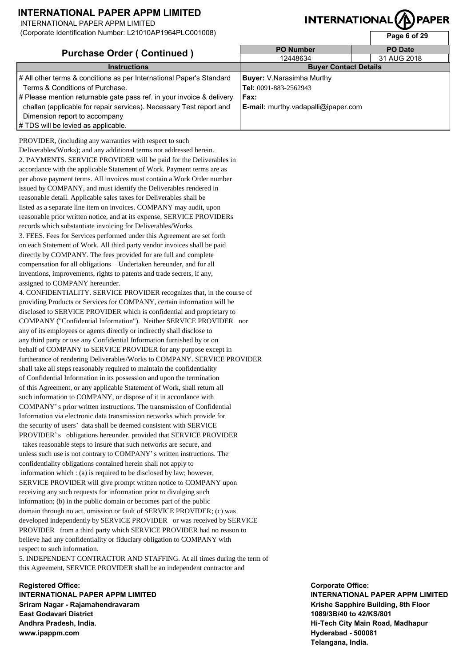INTERNATIONAL PAPER APPM LIMITED

(Corporate Identification Number: L21010AP1964PLC001008)

# **INTERNATIONAL**

**Page 6 of 29** 

| <b>Purchase Order (Continued)</b>                                     | <b>PO Number</b>                    | <b>PO</b> Date |
|-----------------------------------------------------------------------|-------------------------------------|----------------|
|                                                                       | 12448634                            | 31 AUG 2018    |
| <b>Instructions</b>                                                   | <b>Buyer Contact Details</b>        |                |
| # All other terms & conditions as per International Paper's Standard  | <b>Buyer:</b> V.Narasimha Murthy    |                |
| Terms & Conditions of Purchase.                                       | Tel: 0091-883-2562943               |                |
| # Please mention returnable gate pass ref. in your invoice & delivery | Fax:                                |                |
| challan (applicable for repair services). Necessary Test report and   | E-mail: murthy.vadapalli@ipaper.com |                |
| Dimension report to accompany                                         |                                     |                |
| # TDS will be levied as applicable.                                   |                                     |                |

PROVIDER, (including any warranties with respect to such Deliverables/Works); and any additional terms not addressed herein. 2. PAYMENTS. SERVICE PROVIDER will be paid for the Deliverables in accordance with the applicable Statement of Work. Payment terms are as per above payment terms. All invoices must contain a Work Order number issued by COMPANY, and must identify the Deliverables rendered in reasonable detail. Applicable sales taxes for Deliverables shall be listed as a separate line item on invoices. COMPANY may audit, upon reasonable prior written notice, and at its expense, SERVICE PROVIDERs records which substantiate invoicing for Deliverables/Works. 3. FEES. Fees for Services performed under this Agreement are set forth on each Statement of Work. All third party vendor invoices shall be paid directly by COMPANY. The fees provided for are full and complete compensation for all obligations ¬Undertaken hereunder, and for all inventions, improvements, rights to patents and trade secrets, if any, assigned to COMPANY hereunder. 4. CONFIDENTIALITY. SERVICE PROVIDER recognizes that, in the course of

providing Products or Services for COMPANY, certain information will be disclosed to SERVICE PROVIDER which is confidential and proprietary to COMPANY ("Confidential Information"). Neither SERVICE PROVIDER nor any of its employees or agents directly or indirectly shall disclose to any third party or use any Confidential Information furnished by or on behalf of COMPANY to SERVICE PROVIDER for any purpose except in furtherance of rendering Deliverables/Works to COMPANY. SERVICE PROVIDER shall take all steps reasonably required to maintain the confidentiality of Confidential Information in its possession and upon the termination of this Agreement, or any applicable Statement of Work, shall return all such information to COMPANY, or dispose of it in accordance with COMPANY's prior written instructions. The transmission of Confidential Information via electronic data transmission networks which provide for the security of users' data shall be deemed consistent with SERVICE PROVIDER's obligations hereunder, provided that SERVICE PROVIDER

 takes reasonable steps to insure that such networks are secure, and unless such use is not contrary to COMPANY's written instructions. The confidentiality obligations contained herein shall not apply to information which : (a) is required to be disclosed by law; however, SERVICE PROVIDER will give prompt written notice to COMPANY upon receiving any such requests for information prior to divulging such information; (b) in the public domain or becomes part of the public domain through no act, omission or fault of SERVICE PROVIDER; (c) was developed independently by SERVICE PROVIDER or was received by SERVICE PROVIDER from a third party which SERVICE PROVIDER had no reason to believe had any confidentiality or fiduciary obligation to COMPANY with respect to such information.

5. INDEPENDENT CONTRACTOR AND STAFFING. At all times during the term of this Agreement, SERVICE PROVIDER shall be an independent contractor and

**Registered Office: INTERNATIONAL PAPER APPM LIMITED Sriram Nagar - Rajamahendravaram East Godavari District Andhra Pradesh, India. www.ipappm.com**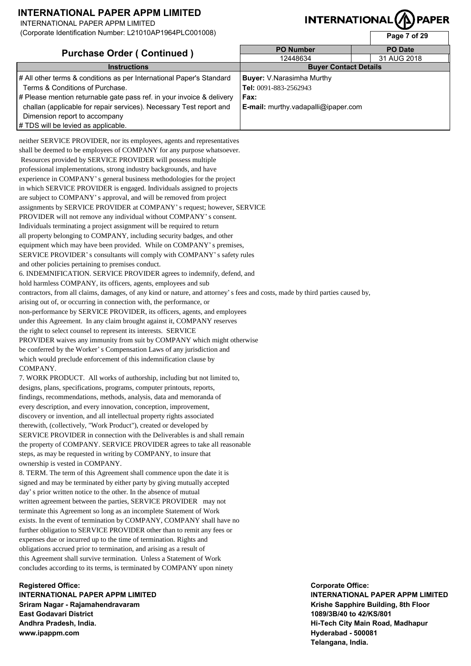INTERNATIONAL PAPER APPM LIMITED

(Corporate Identification Number: L21010AP1964PLC001008)

# **INTERNATIONAL**

**Page 7 of 29** 

| <b>Purchase Order (Continued)</b>                                     | <b>PO Number</b>                           | <b>PO Date</b> |  |
|-----------------------------------------------------------------------|--------------------------------------------|----------------|--|
|                                                                       | 12448634                                   | 31 AUG 2018    |  |
| <b>Instructions</b>                                                   | <b>Buyer Contact Details</b>               |                |  |
| # All other terms & conditions as per International Paper's Standard  | <b>Buyer:</b> V.Narasimha Murthy           |                |  |
| Terms & Conditions of Purchase.                                       | Tel: 0091-883-2562943                      |                |  |
| # Please mention returnable gate pass ref. in your invoice & delivery | Fax:                                       |                |  |
| challan (applicable for repair services). Necessary Test report and   | <b>E-mail:</b> murthy.vadapalli@ipaper.com |                |  |
| Dimension report to accompany                                         |                                            |                |  |
| # TDS will be levied as applicable.                                   |                                            |                |  |

neither SERVICE PROVIDER, nor its employees, agents and representatives shall be deemed to be employees of COMPANY for any purpose whatsoever. Resources provided by SERVICE PROVIDER will possess multiple professional implementations, strong industry backgrounds, and have experience in COMPANY's general business methodologies for the project in which SERVICE PROVIDER is engaged. Individuals assigned to projects are subject to COMPANY's approval, and will be removed from project assignments by SERVICE PROVIDER at COMPANY's request; however, SERVICE PROVIDER will not remove any individual without COMPANY's consent. Individuals terminating a project assignment will be required to return all property belonging to COMPANY, including security badges, and other equipment which may have been provided. While on COMPANY's premises, SERVICE PROVIDER's consultants will comply with COMPANY's safety rules and other policies pertaining to premises conduct. 6. INDEMNIFICATION. SERVICE PROVIDER agrees to indemnify, defend, and hold harmless COMPANY, its officers, agents, employees and sub contractors, from all claims, damages, of any kind or nature, and attorney's fees and costs, made by third parties caused by, arising out of, or occurring in connection with, the performance, or non-performance by SERVICE PROVIDER, its officers, agents, and employees under this Agreement. In any claim brought against it, COMPANY reserves the right to select counsel to represent its interests. SERVICE PROVIDER waives any immunity from suit by COMPANY which might otherwise be conferred by the Worker's Compensation Laws of any jurisdiction and which would preclude enforcement of this indemnification clause by COMPANY. 7. WORK PRODUCT. All works of authorship, including but not limited to, designs, plans, specifications, programs, computer printouts, reports, findings, recommendations, methods, analysis, data and memoranda of every description, and every innovation, conception, improvement, discovery or invention, and all intellectual property rights associated therewith, (collectively, "Work Product"), created or developed by SERVICE PROVIDER in connection with the Deliverables is and shall remain the property of COMPANY. SERVICE PROVIDER agrees to take all reasonable steps, as may be requested in writing by COMPANY, to insure that ownership is vested in COMPANY. 8. TERM. The term of this Agreement shall commence upon the date it is signed and may be terminated by either party by giving mutually accepted day's prior written notice to the other. In the absence of mutual written agreement between the parties, SERVICE PROVIDER may not terminate this Agreement so long as an incomplete Statement of Work exists. In the event of termination by COMPANY, COMPANY shall have no further obligation to SERVICE PROVIDER other than to remit any fees or

expenses due or incurred up to the time of termination. Rights and obligations accrued prior to termination, and arising as a result of this Agreement shall survive termination. Unless a Statement of Work concludes according to its terms, is terminated by COMPANY upon ninety

**Registered Office: INTERNATIONAL PAPER APPM LIMITED Sriram Nagar - Rajamahendravaram East Godavari District Andhra Pradesh, India. www.ipappm.com**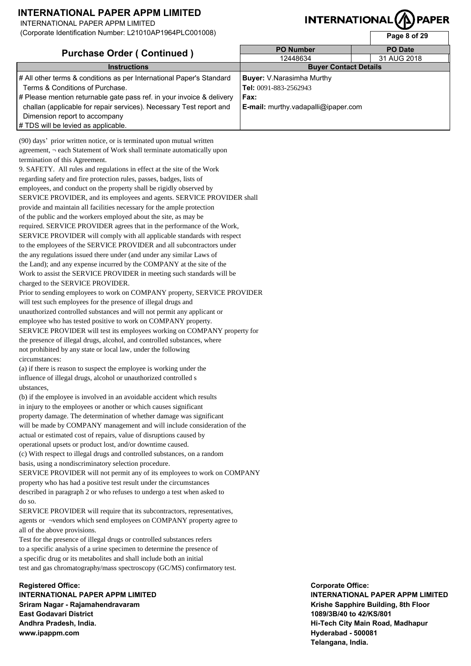INTERNATIONAL PAPER APPM LIMITED

(Corporate Identification Number: L21010AP1964PLC001008)

# **INTERNATIONAL**

**Page 8 of 29** 

| <b>Purchase Order (Continued)</b>                                     | <b>PO Number</b>                           | <b>PO</b> Date |
|-----------------------------------------------------------------------|--------------------------------------------|----------------|
|                                                                       | 12448634                                   | 31 AUG 2018    |
| <b>Instructions</b>                                                   | <b>Buyer Contact Details</b>               |                |
| # All other terms & conditions as per International Paper's Standard  | <b>Buyer:</b> V.Narasimha Murthy           |                |
| Terms & Conditions of Purchase.                                       | Tel: 0091-883-2562943                      |                |
| # Please mention returnable gate pass ref. in your invoice & delivery | Fax:                                       |                |
| challan (applicable for repair services). Necessary Test report and   | <b>E-mail:</b> murthy.vadapalli@ipaper.com |                |
| Dimension report to accompany                                         |                                            |                |
| # TDS will be levied as applicable.                                   |                                            |                |

(90) days' prior written notice, or is terminated upon mutual written agreement, ¬ each Statement of Work shall terminate automatically upon termination of this Agreement. 9. SAFETY. All rules and regulations in effect at the site of the Work

regarding safety and fire protection rules, passes, badges, lists of employees, and conduct on the property shall be rigidly observed by SERVICE PROVIDER, and its employees and agents. SERVICE PROVIDER shall provide and maintain all facilities necessary for the ample protection of the public and the workers employed about the site, as may be required. SERVICE PROVIDER agrees that in the performance of the Work, SERVICE PROVIDER will comply with all applicable standards with respect to the employees of the SERVICE PROVIDER and all subcontractors under the any regulations issued there under (and under any similar Laws of the Land); and any expense incurred by the COMPANY at the site of the Work to assist the SERVICE PROVIDER in meeting such standards will be charged to the SERVICE PROVIDER.

Prior to sending employees to work on COMPANY property, SERVICE PROVIDER will test such employees for the presence of illegal drugs and unauthorized controlled substances and will not permit any applicant or employee who has tested positive to work on COMPANY property. SERVICE PROVIDER will test its employees working on COMPANY property for the presence of illegal drugs, alcohol, and controlled substances, where not prohibited by any state or local law, under the following circumstances:

(a) if there is reason to suspect the employee is working under the influence of illegal drugs, alcohol or unauthorized controlled s ubstances,

(b) if the employee is involved in an avoidable accident which results in injury to the employees or another or which causes significant property damage. The determination of whether damage was significant will be made by COMPANY management and will include consideration of the actual or estimated cost of repairs, value of disruptions caused by operational upsets or product lost, and/or downtime caused. (c) With respect to illegal drugs and controlled substances, on a random basis, using a nondiscriminatory selection procedure. SERVICE PROVIDER will not permit any of its employees to work on COMPANY property who has had a positive test result under the circumstances described in paragraph 2 or who refuses to undergo a test when asked to

do so. SERVICE PROVIDER will require that its subcontractors, representatives,

agents or ¬vendors which send employees on COMPANY property agree to all of the above provisions.

Test for the presence of illegal drugs or controlled substances refers to a specific analysis of a urine specimen to determine the presence of a specific drug or its metabolites and shall include both an initial test and gas chromatography/mass spectroscopy (GC/MS) confirmatory test.

**Registered Office: INTERNATIONAL PAPER APPM LIMITED Sriram Nagar - Rajamahendravaram East Godavari District Andhra Pradesh, India. www.ipappm.com**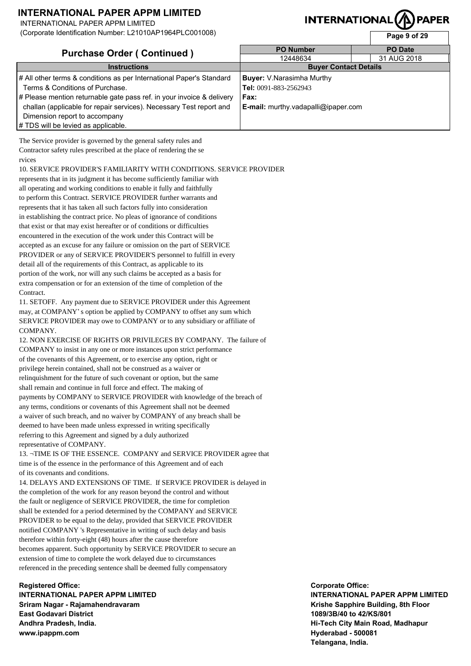INTERNATIONAL PAPER APPM LIMITED

(Corporate Identification Number: L21010AP1964PLC001008)

# **INTERNATIONAL**

**Page 9 of 29** 

| <b>Purchase Order (Continued)</b>                                     | <b>PO Number</b>                    | <b>PO Date</b> |  |
|-----------------------------------------------------------------------|-------------------------------------|----------------|--|
|                                                                       | 12448634                            | 31 AUG 2018    |  |
| <b>Instructions</b>                                                   | <b>Buyer Contact Details</b>        |                |  |
| # All other terms & conditions as per International Paper's Standard  | <b>Buyer:</b> V.Narasimha Murthy    |                |  |
| Terms & Conditions of Purchase.                                       | Tel: 0091-883-2562943               |                |  |
| # Please mention returnable gate pass ref. in your invoice & delivery | Fax:                                |                |  |
| challan (applicable for repair services). Necessary Test report and   | E-mail: murthy.vadapalli@ipaper.com |                |  |
| Dimension report to accompany                                         |                                     |                |  |
| # TDS will be levied as applicable.                                   |                                     |                |  |

The Service provider is governed by the general safety rules and Contractor safety rules prescribed at the place of rendering the se rvices

10. SERVICE PROVIDER'S FAMILIARITY WITH CONDITIONS. SERVICE PROVIDER

represents that in its judgment it has become sufficiently familiar with all operating and working conditions to enable it fully and faithfully to perform this Contract. SERVICE PROVIDER further warrants and represents that it has taken all such factors fully into consideration in establishing the contract price. No pleas of ignorance of conditions that exist or that may exist hereafter or of conditions or difficulties encountered in the execution of the work under this Contract will be accepted as an excuse for any failure or omission on the part of SERVICE PROVIDER or any of SERVICE PROVIDER'S personnel to fulfill in every detail all of the requirements of this Contract, as applicable to its portion of the work, nor will any such claims be accepted as a basis for extra compensation or for an extension of the time of completion of the Contract.

11. SETOFF. Any payment due to SERVICE PROVIDER under this Agreement may, at COMPANY's option be applied by COMPANY to offset any sum which SERVICE PROVIDER may owe to COMPANY or to any subsidiary or affiliate of COMPANY.

12. NON EXERCISE OF RIGHTS OR PRIVILEGES BY COMPANY. The failure of COMPANY to insist in any one or more instances upon strict performance of the covenants of this Agreement, or to exercise any option, right or privilege herein contained, shall not be construed as a waiver or relinquishment for the future of such covenant or option, but the same shall remain and continue in full force and effect. The making of payments by COMPANY to SERVICE PROVIDER with knowledge of the breach of any terms, conditions or covenants of this Agreement shall not be deemed a waiver of such breach, and no waiver by COMPANY of any breach shall be deemed to have been made unless expressed in writing specifically referring to this Agreement and signed by a duly authorized representative of COMPANY.

13. ¬TIME IS OF THE ESSENCE. COMPANY and SERVICE PROVIDER agree that time is of the essence in the performance of this Agreement and of each of its covenants and conditions.

14. DELAYS AND EXTENSIONS OF TIME. If SERVICE PROVIDER is delayed in the completion of the work for any reason beyond the control and without the fault or negligence of SERVICE PROVIDER, the time for completion shall be extended for a period determined by the COMPANY and SERVICE PROVIDER to be equal to the delay, provided that SERVICE PROVIDER notified COMPANY 's Representative in writing of such delay and basis therefore within forty-eight (48) hours after the cause therefore becomes apparent. Such opportunity by SERVICE PROVIDER to secure an extension of time to complete the work delayed due to circumstances referenced in the preceding sentence shall be deemed fully compensatory

**Registered Office: INTERNATIONAL PAPER APPM LIMITED Sriram Nagar - Rajamahendravaram East Godavari District Andhra Pradesh, India. www.ipappm.com**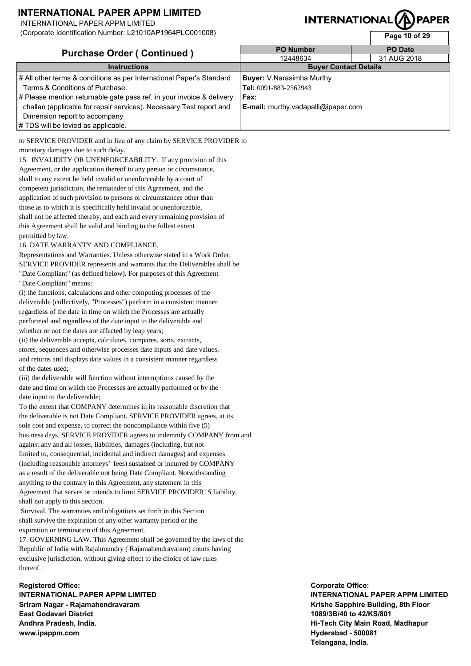INTERNATIONAL PAPER APPM LIMITED

(Corporate Identification Number: L21010AP1964PLC001008)

# **INTERNATIONAL(/**

**Page 10 of 29** 

| <b>Purchase Order (Continued)</b>                                     | <b>PO Number</b>                    | <b>PO</b> Date |
|-----------------------------------------------------------------------|-------------------------------------|----------------|
|                                                                       | 12448634                            | 31 AUG 2018    |
| <b>Instructions</b>                                                   | <b>Buyer Contact Details</b>        |                |
| # All other terms & conditions as per International Paper's Standard  | <b>Buyer:</b> V.Narasimha Murthy    |                |
| Terms & Conditions of Purchase.                                       | Tel: 0091-883-2562943               |                |
| # Please mention returnable gate pass ref. in your invoice & delivery | Fax:                                |                |
| challan (applicable for repair services). Necessary Test report and   | E-mail: murthy.vadapalli@ipaper.com |                |
| Dimension report to accompany                                         |                                     |                |
| # TDS will be levied as applicable.                                   |                                     |                |

to SERVICE PROVIDER and in lieu of any claim by SERVICE PROVIDER to monetary damages due to such delay.

15. INVALIDITY OR UNENFORCEABILITY. If any provision of this Agreement, or the application thereof to any person or circumstance, shall to any extent be held invalid or unenforceable by a court of competent jurisdiction, the remainder of this Agreement, and the application of such provision to persons or circumstances other than those as to which it is specifically held invalid or unenforceable, shall not be affected thereby, and each and every remaining provision of this Agreement shall be valid and binding to the fullest extent permitted by law.

#### 16. DATE WARRANTY AND COMPLIANCE.

Representations and Warranties. Unless otherwise stated in a Work Order, SERVICE PROVIDER represents and warrants that the Deliverables shall be "Date Compliant" (as defined below). For purposes of this Agreement "Date Compliant" means:

(i) the functions, calculations and other computing processes of the deliverable (collectively, "Processes") perform in a consistent manner regardless of the date in time on which the Processes are actually performed and regardless of the date input to the deliverable and whether or not the dates are affected by leap years;

(ii) the deliverable accepts, calculates, compares, sorts, extracts, stores, sequences and otherwise processes date inputs and date values, and returns and displays date values in a consistent manner regardless of the dates used;

(iii) the deliverable will function without interruptions caused by the date and time on which the Processes are actually performed or by the date input to the deliverable;

To the extent that COMPANY determines in its reasonable discretion that the deliverable is not Date Compliant, SERVICE PROVIDER agrees, at its sole cost and expense, to correct the noncompliance within five (5) business days. SERVICE PROVIDER agrees to indemnify COMPANY from and against any and all losses, liabilities, damages (including, but not limited to, consequential, incidental and indirect damages) and expenses (including reasonable attorneys' fees) sustained or incurred by COMPANY as a result of the deliverable not being Date Compliant. Notwithstanding anything to the contrary in this Agreement, any statement in this Agreement that serves or intends to limit SERVICE PROVIDER'S liability, shall not apply to this section.

 Survival. The warranties and obligations set forth in this Section shall survive the expiration of any other warranty period or the expiration or termination of this Agreement.

17. GOVERNING LAW. This Agreement shall be governed by the laws of the Republic of India with Rajahmundry ( Rajamahendravaram) courts having exclusive jurisdiction, without giving effect to the choice of law rules thereof.

**Registered Office: INTERNATIONAL PAPER APPM LIMITED Sriram Nagar - Rajamahendravaram East Godavari District Andhra Pradesh, India. www.ipappm.com**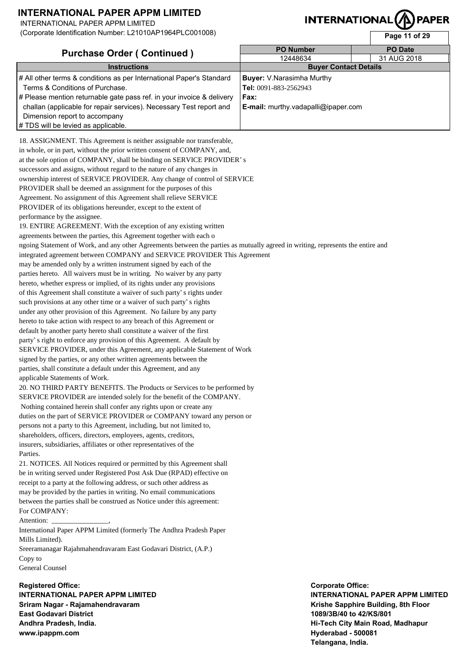INTERNATIONAL PAPER APPM LIMITED

(Corporate Identification Number: L21010AP1964PLC001008)

# **INTERNATION**

| ן סטופוס ומכחמונסמטו הימוחסכו. בב וט וטרק דוסט <del>יז</del> ו בסטט וטטט |                                            | Page 11 of 29  |
|--------------------------------------------------------------------------|--------------------------------------------|----------------|
| <b>Purchase Order (Continued)</b>                                        | <b>PO Number</b>                           | <b>PO Date</b> |
|                                                                          | 12448634                                   | 31 AUG 2018    |
| <b>Instructions</b>                                                      | <b>Buyer Contact Details</b>               |                |
| # All other terms & conditions as per International Paper's Standard     | <b>Buyer:</b> V.Narasimha Murthy           |                |
| Terms & Conditions of Purchase.                                          | Tel: 0091-883-2562943                      |                |
| # Please mention returnable gate pass ref. in your invoice & delivery    | Fax:                                       |                |
| challan (applicable for repair services). Necessary Test report and      | <b>E-mail:</b> murthy.vadapalli@ipaper.com |                |
| Dimension report to accompany                                            |                                            |                |
| # TDS will be levied as applicable.                                      |                                            |                |

18. ASSIGNMENT. This Agreement is neither assignable nor transferable, in whole, or in part, without the prior written consent of COMPANY, and, at the sole option of COMPANY, shall be binding on SERVICE PROVIDER's successors and assigns, without regard to the nature of any changes in ownership interest of SERVICE PROVIDER. Any change of control of SERVICE PROVIDER shall be deemed an assignment for the purposes of this Agreement. No assignment of this Agreement shall relieve SERVICE PROVIDER of its obligations hereunder, except to the extent of performance by the assignee.

19. ENTIRE AGREEMENT. With the exception of any existing written agreements between the parties, this Agreement together with each o ngoing Statement of Work, and any other Agreements between the parties as mutually agreed in writing, represents the entire and integrated agreement between COMPANY and SERVICE PROVIDER This Agreement may be amended only by a written instrument signed by each of the parties hereto. All waivers must be in writing. No waiver by any party hereto, whether express or implied, of its rights under any provisions of this Agreement shall constitute a waiver of such party's rights under such provisions at any other time or a waiver of such party's rights under any other provision of this Agreement. No failure by any party hereto to take action with respect to any breach of this Agreement or default by another party hereto shall constitute a waiver of the first party's right to enforce any provision of this Agreement. A default by SERVICE PROVIDER, under this Agreement, any applicable Statement of Work signed by the parties, or any other written agreements between the parties, shall constitute a default under this Agreement, and any applicable Statements of Work. 20. NO THIRD PARTY BENEFITS. The Products or Services to be performed by SERVICE PROVIDER are intended solely for the benefit of the COMPANY.

 Nothing contained herein shall confer any rights upon or create any duties on the part of SERVICE PROVIDER or COMPANY toward any person or persons not a party to this Agreement, including, but not limited to, shareholders, officers, directors, employees, agents, creditors, insurers, subsidiaries, affiliates or other representatives of the Parties.

21. NOTICES. All Notices required or permitted by this Agreement shall be in writing served under Registered Post Ask Due (RPAD) effective on receipt to a party at the following address, or such other address as may be provided by the parties in writing. No email communications between the parties shall be construed as Notice under this agreement: For COMPANY:

Attention:

International Paper APPM Limited (formerly The Andhra Pradesh Paper Mills Limited).

Sreeramanagar Rajahmahendravaram East Godavari District, (A.P.) Copy to

General Counsel

**Registered Office: INTERNATIONAL PAPER APPM LIMITED Sriram Nagar - Rajamahendravaram East Godavari District Andhra Pradesh, India. www.ipappm.com**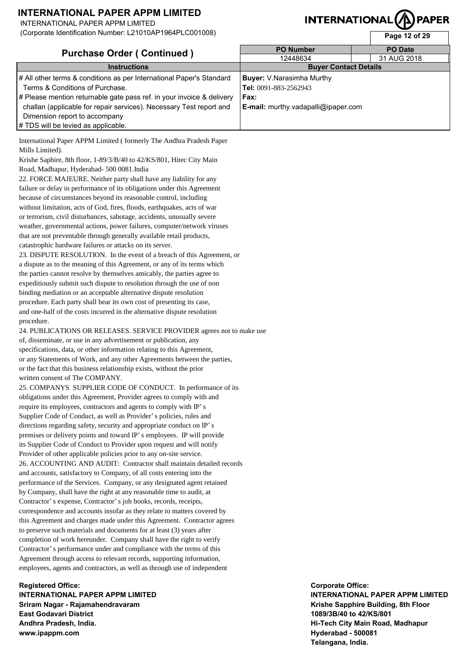INTERNATIONAL PAPER APPM LIMITED

(Corporate Identification Number: L21010AP1964PLC001008)

# **INTERNATIONAL(/**

**Page 12 of 29** 

| <b>Purchase Order (Continued)</b>                                     | <b>PO Number</b>                    | <b>PO Date</b> |  |
|-----------------------------------------------------------------------|-------------------------------------|----------------|--|
|                                                                       | 12448634                            | 31 AUG 2018    |  |
| <b>Instructions</b>                                                   | <b>Buyer Contact Details</b>        |                |  |
| # All other terms & conditions as per International Paper's Standard  | <b>Buyer:</b> V.Narasimha Murthy    |                |  |
| Terms & Conditions of Purchase.                                       | Tel: 0091-883-2562943               |                |  |
| # Please mention returnable gate pass ref. in your invoice & delivery | Fax:                                |                |  |
| challan (applicable for repair services). Necessary Test report and   | E-mail: murthy.vadapalli@ipaper.com |                |  |
| Dimension report to accompany                                         |                                     |                |  |
| # TDS will be levied as applicable.                                   |                                     |                |  |

International Paper APPM Limited ( formerly The Andhra Pradesh Paper Mills Limited).

Krishe Saphire, 8th floor, 1-89/3/B/40 to 42/KS/801, Hitec City Main Road, Madhapur, Hyderabad- 500 0081.India

22. FORCE MAJEURE. Neither party shall have any liability for any failure or delay in performance of its obligations under this Agreement because of circumstances beyond its reasonable control, including without limitation, acts of God, fires, floods, earthquakes, acts of war or terrorism, civil disturbances, sabotage, accidents, unusually severe weather, governmental actions, power failures, computer/network viruses that are not preventable through generally available retail products, catastrophic hardware failures or attacks on its server.

23. DISPUTE RESOLUTION. In the event of a breach of this Agreement, or a dispute as to the meaning of this Agreement, or any of its terms which the parties cannot resolve by themselves amicably, the parties agree to expeditiously submit such dispute to resolution through the use of non binding mediation or an acceptable alternative dispute resolution procedure. Each party shall bear its own cost of presenting its case, and one-half of the costs incurred in the alternative dispute resolution procedure.

24. PUBLICATIONS OR RELEASES. SERVICE PROVIDER agrees not to make use of, disseminate, or use in any advertisement or publication, any specifications, data, or other information relating to this Agreement, or any Statements of Work, and any other Agreements between the parties, or the fact that this business relationship exists, without the prior written consent of The COMPANY.

25. COMPANYS SUPPLIER CODE OF CONDUCT. In performance of its obligations under this Agreement, Provider agrees to comply with and require its employees, contractors and agents to comply with IP's Supplier Code of Conduct, as well as Provider's policies, rules and directions regarding safety, security and appropriate conduct on IP's premises or delivery points and toward IP's employees. IP will provide its Supplier Code of Conduct to Provider upon request and will notify Provider of other applicable policies prior to any on-site service. 26. ACCOUNTING AND AUDIT: Contractor shall maintain detailed records and accounts, satisfactory to Company, of all costs entering into the performance of the Services. Company, or any designated agent retained by Company, shall have the right at any reasonable time to audit, at Contractor's expense, Contractor's job books, records, receipts, correspondence and accounts insofar as they relate to matters covered by this Agreement and charges made under this Agreement. Contractor agrees to preserve such materials and documents for at least (3) years after completion of work hereunder. Company shall have the right to verify Contractor's performance under and compliance with the terms of this Agreement through access to relevant records, supporting information, employees, agents and contractors, as well as through use of independent

**Registered Office: INTERNATIONAL PAPER APPM LIMITED Sriram Nagar - Rajamahendravaram East Godavari District Andhra Pradesh, India. www.ipappm.com**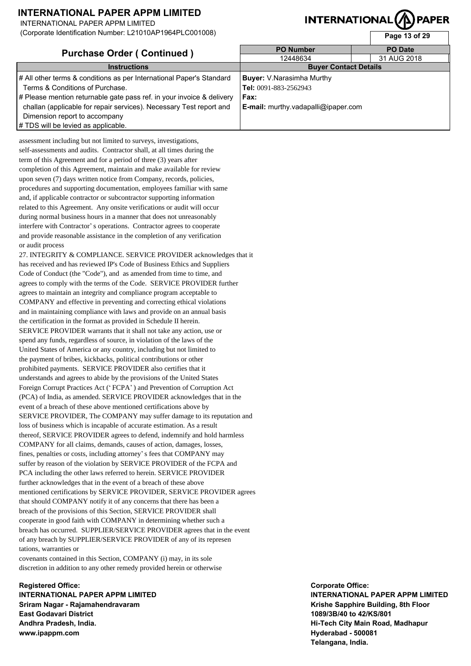INTERNATIONAL PAPER APPM LIMITED

(Corporate Identification Number: L21010AP1964PLC001008)

# **INTERNATIONAL(/f**

**Page 13 of 29** 

| <b>Purchase Order (Continued)</b>                                     | <b>PO Number</b>                    | <b>PO</b> Date |  |
|-----------------------------------------------------------------------|-------------------------------------|----------------|--|
|                                                                       | 12448634                            | 31 AUG 2018    |  |
| <b>Instructions</b>                                                   | <b>Buyer Contact Details</b>        |                |  |
| # All other terms & conditions as per International Paper's Standard  | <b>Buyer:</b> V.Narasimha Murthy    |                |  |
| Terms & Conditions of Purchase.                                       | Tel: 0091-883-2562943               |                |  |
| # Please mention returnable gate pass ref. in your invoice & delivery | Fax:                                |                |  |
| challan (applicable for repair services). Necessary Test report and   | E-mail: murthy.vadapalli@ipaper.com |                |  |
| Dimension report to accompany                                         |                                     |                |  |
| # TDS will be levied as applicable.                                   |                                     |                |  |

assessment including but not limited to surveys, investigations, self-assessments and audits. Contractor shall, at all times during the term of this Agreement and for a period of three (3) years after completion of this Agreement, maintain and make available for review upon seven (7) days written notice from Company, records, policies, procedures and supporting documentation, employees familiar with same and, if applicable contractor or subcontractor supporting information related to this Agreement. Any onsite verifications or audit will occur during normal business hours in a manner that does not unreasonably interfere with Contractor's operations. Contractor agrees to cooperate and provide reasonable assistance in the completion of any verification or audit process

27. INTEGRITY & COMPLIANCE. SERVICE PROVIDER acknowledges that it has received and has reviewed IP's Code of Business Ethics and Suppliers Code of Conduct (the "Code"), and as amended from time to time, and agrees to comply with the terms of the Code. SERVICE PROVIDER further agrees to maintain an integrity and compliance program acceptable to COMPANY and effective in preventing and correcting ethical violations and in maintaining compliance with laws and provide on an annual basis the certification in the format as provided in Schedule II herein. SERVICE PROVIDER warrants that it shall not take any action, use or spend any funds, regardless of source, in violation of the laws of the United States of America or any country, including but not limited to the payment of bribes, kickbacks, political contributions or other prohibited payments. SERVICE PROVIDER also certifies that it understands and agrees to abide by the provisions of the United States Foreign Corrupt Practices Act ('FCPA') and Prevention of Corruption Act (PCA) of India, as amended. SERVICE PROVIDER acknowledges that in the event of a breach of these above mentioned certifications above by SERVICE PROVIDER, The COMPANY may suffer damage to its reputation and loss of business which is incapable of accurate estimation. As a result thereof, SERVICE PROVIDER agrees to defend, indemnify and hold harmless COMPANY for all claims, demands, causes of action, damages, losses, fines, penalties or costs, including attorney's fees that COMPANY may suffer by reason of the violation by SERVICE PROVIDER of the FCPA and PCA including the other laws referred to herein. SERVICE PROVIDER further acknowledges that in the event of a breach of these above mentioned certifications by SERVICE PROVIDER, SERVICE PROVIDER agrees that should COMPANY notify it of any concerns that there has been a breach of the provisions of this Section, SERVICE PROVIDER shall cooperate in good faith with COMPANY in determining whether such a breach has occurred. SUPPLIER/SERVICE PROVIDER agrees that in the event of any breach by SUPPLIER/SERVICE PROVIDER of any of its represen tations, warranties or

covenants contained in this Section, COMPANY (i) may, in its sole discretion in addition to any other remedy provided herein or otherwise

**Registered Office: INTERNATIONAL PAPER APPM LIMITED Sriram Nagar - Rajamahendravaram East Godavari District Andhra Pradesh, India. www.ipappm.com**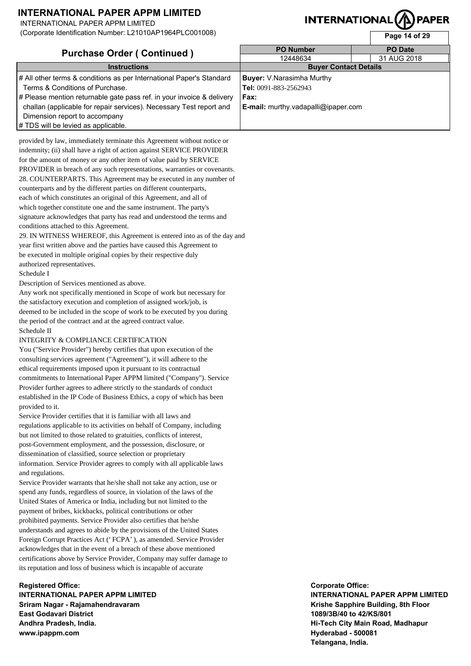INTERNATIONAL PAPER APPM LIMITED

(Corporate Identification Number: L21010AP1964PLC001008)

# **INTERNATIONAL(/**

**Page 14 of 29** 

| <b>Purchase Order (Continued)</b>                                     | <b>PO Number</b>                    | <b>PO Date</b> |  |
|-----------------------------------------------------------------------|-------------------------------------|----------------|--|
|                                                                       | 12448634                            | 31 AUG 2018    |  |
| <b>Instructions</b>                                                   | <b>Buyer Contact Details</b>        |                |  |
| # All other terms & conditions as per International Paper's Standard  | <b>Buyer:</b> V.Narasimha Murthy    |                |  |
| Terms & Conditions of Purchase.                                       | Tel: 0091-883-2562943               |                |  |
| # Please mention returnable gate pass ref. in your invoice & delivery | Fax:                                |                |  |
| challan (applicable for repair services). Necessary Test report and   | E-mail: murthy.vadapalli@ipaper.com |                |  |
| Dimension report to accompany                                         |                                     |                |  |
| # TDS will be levied as applicable.                                   |                                     |                |  |

provided by law, immediately terminate this Agreement without notice or indemnity; (ii) shall have a right of action against SERVICE PROVIDER for the amount of money or any other item of value paid by SERVICE PROVIDER in breach of any such representations, warranties or covenants. 28. COUNTERPARTS. This Agreement may be executed in any number of counterparts and by the different parties on different counterparts, each of which constitutes an original of this Agreement, and all of which together constitute one and the same instrument. The party's signature acknowledges that party has read and understood the terms and conditions attached to this Agreement.

29. IN WITNESS WHEREOF, this Agreement is entered into as of the day and year first written above and the parties have caused this Agreement to be executed in multiple original copies by their respective duly authorized representatives.

#### Schedule I

Description of Services mentioned as above.

Any work not specifically mentioned in Scope of work but necessary for the satisfactory execution and completion of assigned work/job, is deemed to be included in the scope of work to be executed by you during the period of the contract and at the agreed contract value. Schedule II

#### INTEGRITY & COMPLIANCE CERTIFICATION

You ("Service Provider") hereby certifies that upon execution of the consulting services agreement ("Agreement"), it will adhere to the ethical requirements imposed upon it pursuant to its contractual commitments to International Paper APPM limited ("Company"). Service Provider further agrees to adhere strictly to the standards of conduct established in the IP Code of Business Ethics, a copy of which has been provided to it.

Service Provider certifies that it is familiar with all laws and regulations applicable to its activities on behalf of Company, including but not limited to those related to gratuities, conflicts of interest, post-Government employment, and the possession, disclosure, or dissemination of classified, source selection or proprietary information. Service Provider agrees to comply with all applicable laws and regulations.

Service Provider warrants that he/she shall not take any action, use or spend any funds, regardless of source, in violation of the laws of the United States of America or India, including but not limited to the payment of bribes, kickbacks, political contributions or other prohibited payments. Service Provider also certifies that he/she understands and agrees to abide by the provisions of the United States Foreign Corrupt Practices Act ('FCPA'), as amended. Service Provider acknowledges that in the event of a breach of these above mentioned certifications above by Service Provider, Company may suffer damage to its reputation and loss of business which is incapable of accurate

**Registered Office: INTERNATIONAL PAPER APPM LIMITED Sriram Nagar - Rajamahendravaram East Godavari District Andhra Pradesh, India. www.ipappm.com**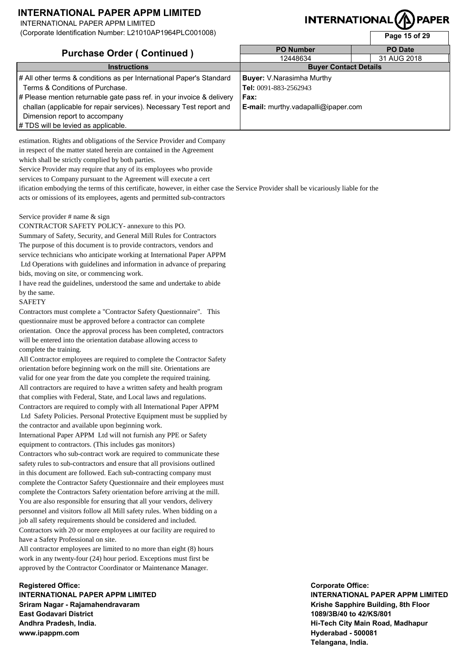INTERNATIONAL PAPER APPM LIMITED

(Corporate Identification Number: L21010AP1964PLC001008)

# **INTERNATIONAL(/f**

**Page 15 of 29** 

| <b>Purchase Order (Continued)</b>                                     | <b>PO Number</b>                    | <b>PO Date</b> |  |
|-----------------------------------------------------------------------|-------------------------------------|----------------|--|
|                                                                       | 12448634                            | 31 AUG 2018    |  |
| <b>Instructions</b>                                                   | <b>Buyer Contact Details</b>        |                |  |
| # All other terms & conditions as per International Paper's Standard  | <b>Buyer:</b> V.Narasimha Murthy    |                |  |
| Terms & Conditions of Purchase.                                       | Tel: 0091-883-2562943               |                |  |
| # Please mention returnable gate pass ref. in your invoice & delivery | Fax:                                |                |  |
| challan (applicable for repair services). Necessary Test report and   | E-mail: murthy.vadapalli@ipaper.com |                |  |
| Dimension report to accompany                                         |                                     |                |  |
| # TDS will be levied as applicable.                                   |                                     |                |  |

estimation. Rights and obligations of the Service Provider and Company in respect of the matter stated herein are contained in the Agreement which shall be strictly complied by both parties.

Service Provider may require that any of its employees who provide

services to Company pursuant to the Agreement will execute a cert

ification embodying the terms of this certificate, however, in either case the Service Provider shall be vicariously liable for the acts or omissions of its employees, agents and permitted sub-contractors

Service provider # name & sign

CONTRACTOR SAFETY POLICY- annexure to this PO. Summary of Safety, Security, and General Mill Rules for Contractors The purpose of this document is to provide contractors, vendors and service technicians who anticipate working at International Paper APPM Ltd Operations with guidelines and information in advance of preparing bids, moving on site, or commencing work.

I have read the guidelines, understood the same and undertake to abide by the same.

#### SAFETY

Contractors must complete a "Contractor Safety Questionnaire". This questionnaire must be approved before a contractor can complete orientation. Once the approval process has been completed, contractors will be entered into the orientation database allowing access to complete the training.

All Contractor employees are required to complete the Contractor Safety orientation before beginning work on the mill site. Orientations are valid for one year from the date you complete the required training. All contractors are required to have a written safety and health program that complies with Federal, State, and Local laws and regulations. Contractors are required to comply with all International Paper APPM Ltd Safety Policies. Personal Protective Equipment must be supplied by the contractor and available upon beginning work.

International Paper APPM Ltd will not furnish any PPE or Safety equipment to contractors. (This includes gas monitors)

Contractors who sub-contract work are required to communicate these safety rules to sub-contractors and ensure that all provisions outlined in this document are followed. Each sub-contracting company must complete the Contractor Safety Questionnaire and their employees must complete the Contractors Safety orientation before arriving at the mill. You are also responsible for ensuring that all your vendors, delivery personnel and visitors follow all Mill safety rules. When bidding on a job all safety requirements should be considered and included. Contractors with 20 or more employees at our facility are required to have a Safety Professional on site.

All contractor employees are limited to no more than eight (8) hours work in any twenty-four (24) hour period. Exceptions must first be approved by the Contractor Coordinator or Maintenance Manager.

**Registered Office: INTERNATIONAL PAPER APPM LIMITED Sriram Nagar - Rajamahendravaram East Godavari District Andhra Pradesh, India. www.ipappm.com**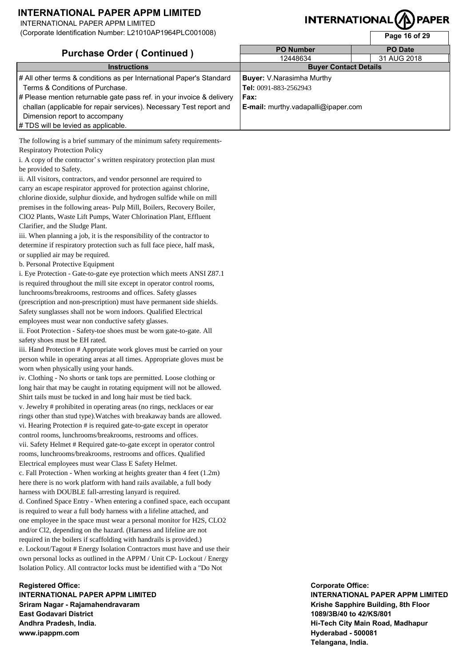INTERNATIONAL PAPER APPM LIMITED

(Corporate Identification Number: L21010AP1964PLC001008)

# **INTERNATION**

| <u>(Corporate Tueritineation Humber: EZTO TUAT TUUH EOUU TUUU)</u>    |                                     | Page 16 of 29  |  |  |
|-----------------------------------------------------------------------|-------------------------------------|----------------|--|--|
| <b>Purchase Order (Continued)</b>                                     | <b>PO Number</b>                    | <b>PO Date</b> |  |  |
|                                                                       | 12448634                            | 31 AUG 2018    |  |  |
| <b>Instructions</b>                                                   | <b>Buyer Contact Details</b>        |                |  |  |
| # All other terms & conditions as per International Paper's Standard  | <b>Buyer:</b> V.Narasimha Murthy    |                |  |  |
| Terms & Conditions of Purchase.                                       | Tel: 0091-883-2562943               |                |  |  |
| # Please mention returnable gate pass ref. in your invoice & delivery | Fax:                                |                |  |  |
| challan (applicable for repair services). Necessary Test report and   | E-mail: murthy.vadapalli@ipaper.com |                |  |  |
| Dimension report to accompany                                         |                                     |                |  |  |
| # TDS will be levied as applicable.                                   |                                     |                |  |  |

The following is a brief summary of the minimum safety requirements-Respiratory Protection Policy

i. A copy of the contractor's written respiratory protection plan must be provided to Safety.

ii. All visitors, contractors, and vendor personnel are required to carry an escape respirator approved for protection against chlorine, chlorine dioxide, sulphur dioxide, and hydrogen sulfide while on mill premises in the following areas- Pulp Mill, Boilers, Recovery Boiler, ClO2 Plants, Waste Lift Pumps, Water Chlorination Plant, Effluent Clarifier, and the Sludge Plant.

iii. When planning a job, it is the responsibility of the contractor to determine if respiratory protection such as full face piece, half mask, or supplied air may be required.

b. Personal Protective Equipment

i. Eye Protection - Gate-to-gate eye protection which meets ANSI Z87.1 is required throughout the mill site except in operator control rooms, lunchrooms/breakrooms, restrooms and offices. Safety glasses (prescription and non-prescription) must have permanent side shields. Safety sunglasses shall not be worn indoors. Qualified Electrical employees must wear non conductive safety glasses.

ii. Foot Protection - Safety-toe shoes must be worn gate-to-gate. All safety shoes must be EH rated.

iii. Hand Protection # Appropriate work gloves must be carried on your person while in operating areas at all times. Appropriate gloves must be worn when physically using your hands.

iv. Clothing - No shorts or tank tops are permitted. Loose clothing or long hair that may be caught in rotating equipment will not be allowed. Shirt tails must be tucked in and long hair must be tied back.

v. Jewelry # prohibited in operating areas (no rings, necklaces or ear rings other than stud type).Watches with breakaway bands are allowed. vi. Hearing Protection # is required gate-to-gate except in operator control rooms, lunchrooms/breakrooms, restrooms and offices. vii. Safety Helmet # Required gate-to-gate except in operator control rooms, lunchrooms/breakrooms, restrooms and offices. Qualified Electrical employees must wear Class E Safety Helmet.

c. Fall Protection - When working at heights greater than 4 feet (1.2m) here there is no work platform with hand rails available, a full body harness with DOUBLE fall-arresting lanyard is required.

d. Confined Space Entry - When entering a confined space, each occupant is required to wear a full body harness with a lifeline attached, and one employee in the space must wear a personal monitor for H2S, CLO2 and/or Cl2, depending on the hazard. (Harness and lifeline are not required in the boilers if scaffolding with handrails is provided.) e. Lockout/Tagout # Energy Isolation Contractors must have and use their own personal locks as outlined in the APPM / Unit CP- Lockout / Energy Isolation Policy. All contractor locks must be identified with a "Do Not

**Registered Office: INTERNATIONAL PAPER APPM LIMITED Sriram Nagar - Rajamahendravaram East Godavari District Andhra Pradesh, India. www.ipappm.com**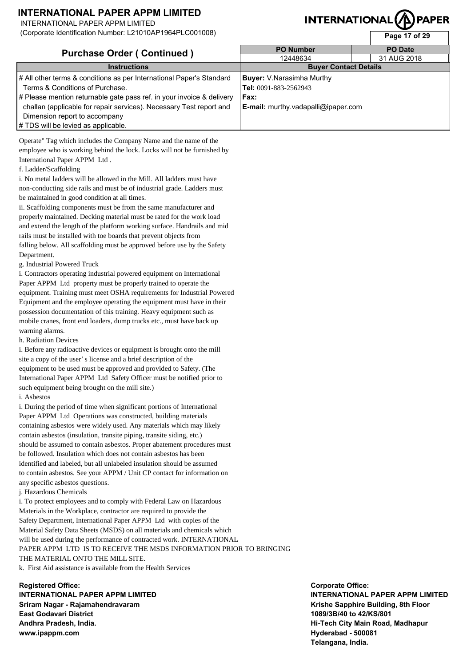INTERNATIONAL PAPER APPM LIMITED

(Corporate Identification Number: L21010AP1964PLC001008)

# **INTERNATIONAl**

**Page 17 of 29** 

|                                                                       |                                     | .4401.9012     |
|-----------------------------------------------------------------------|-------------------------------------|----------------|
| <b>Purchase Order (Continued)</b>                                     | <b>PO Number</b>                    | <b>PO</b> Date |
|                                                                       | 12448634                            | 31 AUG 2018    |
| <b>Instructions</b>                                                   | <b>Buyer Contact Details</b>        |                |
| # All other terms & conditions as per International Paper's Standard  | <b>Buyer:</b> V.Narasimha Murthy    |                |
| Terms & Conditions of Purchase.                                       | Tel: 0091-883-2562943               |                |
| # Please mention returnable gate pass ref. in your invoice & delivery | Fax:                                |                |
| challan (applicable for repair services). Necessary Test report and   | E-mail: murthy.vadapalli@ipaper.com |                |
| Dimension report to accompany                                         |                                     |                |
| # TDS will be levied as applicable.                                   |                                     |                |

Operate" Tag which includes the Company Name and the name of the employee who is working behind the lock. Locks will not be furnished by International Paper APPM Ltd .

f. Ladder/Scaffolding

i. No metal ladders will be allowed in the Mill. All ladders must have non-conducting side rails and must be of industrial grade. Ladders must be maintained in good condition at all times.

ii. Scaffolding components must be from the same manufacturer and properly maintained. Decking material must be rated for the work load and extend the length of the platform working surface. Handrails and mid rails must be installed with toe boards that prevent objects from falling below. All scaffolding must be approved before use by the Safety Department.

g. Industrial Powered Truck

i. Contractors operating industrial powered equipment on International Paper APPM Ltd property must be properly trained to operate the equipment. Training must meet OSHA requirements for Industrial Powered Equipment and the employee operating the equipment must have in their possession documentation of this training. Heavy equipment such as mobile cranes, front end loaders, dump trucks etc., must have back up warning alarms.

h. Radiation Devices

i. Before any radioactive devices or equipment is brought onto the mill site a copy of the user's license and a brief description of the equipment to be used must be approved and provided to Safety. (The International Paper APPM Ltd Safety Officer must be notified prior to such equipment being brought on the mill site.) i. Asbestos

i. During the period of time when significant portions of International Paper APPM Ltd Operations was constructed, building materials containing asbestos were widely used. Any materials which may likely

contain asbestos (insulation, transite piping, transite siding, etc.) should be assumed to contain asbestos. Proper abatement procedures must be followed. Insulation which does not contain asbestos has been identified and labeled, but all unlabeled insulation should be assumed to contain asbestos. See your APPM / Unit CP contact for information on any specific asbestos questions.

j. Hazardous Chemicals

i. To protect employees and to comply with Federal Law on Hazardous Materials in the Workplace, contractor are required to provide the Safety Department, International Paper APPM Ltd with copies of the Material Safety Data Sheets (MSDS) on all materials and chemicals which will be used during the performance of contracted work. INTERNATIONAL PAPER APPM LTD IS TO RECEIVE THE MSDS INFORMATION PRIOR TO BRINGING THE MATERIAL ONTO THE MILL SITE.

k. First Aid assistance is available from the Health Services

**Registered Office: INTERNATIONAL PAPER APPM LIMITED Sriram Nagar - Rajamahendravaram East Godavari District Andhra Pradesh, India. www.ipappm.com**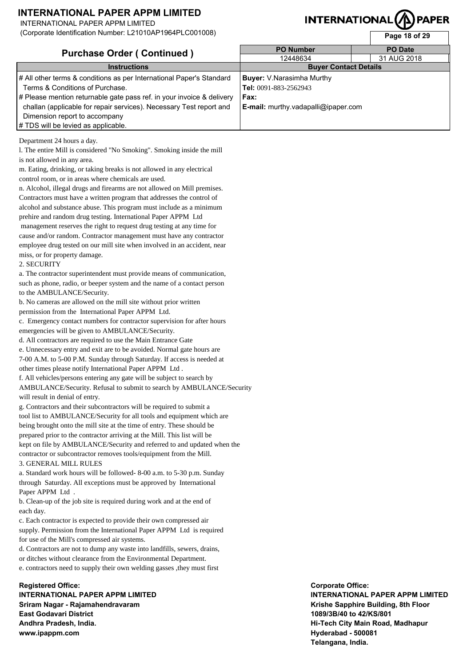INTERNATIONAL PAPER APPM LIMITED

(Corporate Identification Number: L21010AP1964PLC001008)

# **INTERNATIONAL**

**Page 18 of 29** 

| <b>Purchase Order (Continued)</b><br><b>Instructions</b>              | <b>PO Number</b>                           | <b>PO Date</b> |
|-----------------------------------------------------------------------|--------------------------------------------|----------------|
|                                                                       | 12448634                                   | 31 AUG 2018    |
| <b>Buyer Contact Details</b>                                          |                                            |                |
| # All other terms & conditions as per International Paper's Standard  | <b>Buyer:</b> V.Narasimha Murthy           |                |
| Terms & Conditions of Purchase.                                       | Tel: 0091-883-2562943                      |                |
| # Please mention returnable gate pass ref. in your invoice & delivery | Fax:                                       |                |
| challan (applicable for repair services). Necessary Test report and   | <b>E-mail:</b> murthy.vadapalli@ipaper.com |                |
| Dimension report to accompany                                         |                                            |                |
| # TDS will be levied as applicable.                                   |                                            |                |

Department 24 hours a day.

l. The entire Mill is considered "No Smoking". Smoking inside the mill is not allowed in any area.

m. Eating, drinking, or taking breaks is not allowed in any electrical control room, or in areas where chemicals are used.

n. Alcohol, illegal drugs and firearms are not allowed on Mill premises. Contractors must have a written program that addresses the control of alcohol and substance abuse. This program must include as a minimum prehire and random drug testing. International Paper APPM Ltd management reserves the right to request drug testing at any time for cause and/or random. Contractor management must have any contractor employee drug tested on our mill site when involved in an accident, near miss, or for property damage.

#### 2. SECURITY

a. The contractor superintendent must provide means of communication, such as phone, radio, or beeper system and the name of a contact person to the AMBULANCE/Security.

b. No cameras are allowed on the mill site without prior written permission from the International Paper APPM Ltd.

c. Emergency contact numbers for contractor supervision for after hours emergencies will be given to AMBULANCE/Security.

d. All contractors are required to use the Main Entrance Gate

e. Unnecessary entry and exit are to be avoided. Normal gate hours are 7-00 A.M. to 5-00 P.M. Sunday through Saturday. If access is needed at other times please notify International Paper APPM Ltd .

f. All vehicles/persons entering any gate will be subject to search by AMBULANCE/Security. Refusal to submit to search by AMBULANCE/Security will result in denial of entry.

g. Contractors and their subcontractors will be required to submit a tool list to AMBULANCE/Security for all tools and equipment which are being brought onto the mill site at the time of entry. These should be prepared prior to the contractor arriving at the Mill. This list will be kept on file by AMBULANCE/Security and referred to and updated when the contractor or subcontractor removes tools/equipment from the Mill. 3. GENERAL MILL RULES

a. Standard work hours will be followed- 8-00 a.m. to 5-30 p.m. Sunday through Saturday. All exceptions must be approved by International Paper APPM Ltd .

b. Clean-up of the job site is required during work and at the end of each day.

c. Each contractor is expected to provide their own compressed air supply. Permission from the International Paper APPM Ltd is required for use of the Mill's compressed air systems.

d. Contractors are not to dump any waste into landfills, sewers, drains, or ditches without clearance from the Environmental Department. e. contractors need to supply their own welding gasses ,they must first

### **Registered Office: INTERNATIONAL PAPER APPM LIMITED Sriram Nagar - Rajamahendravaram East Godavari District Andhra Pradesh, India. www.ipappm.com**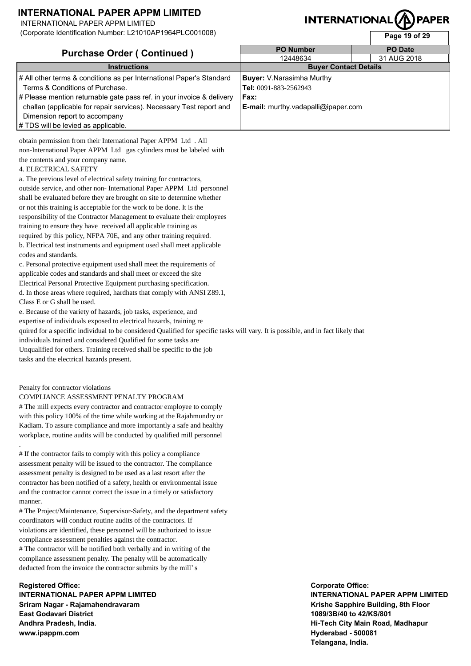INTERNATIONAL PAPER APPM LIMITED

(Corporate Identification Number: L21010AP1964PLC001008)

# **INTERNATIONAL(/**

**Page 19 of 29** 

| <b>Purchase Order (Continued)</b>                                     | <b>PO Number</b>                           | <b>PO</b> Date |  |
|-----------------------------------------------------------------------|--------------------------------------------|----------------|--|
|                                                                       | 12448634                                   | 31 AUG 2018    |  |
| <b>Instructions</b>                                                   | <b>Buyer Contact Details</b>               |                |  |
| # All other terms & conditions as per International Paper's Standard  | <b>Buyer:</b> V.Narasimha Murthy           |                |  |
| Terms & Conditions of Purchase.                                       | Tel: 0091-883-2562943                      |                |  |
| # Please mention returnable gate pass ref. in your invoice & delivery | Fax:                                       |                |  |
| challan (applicable for repair services). Necessary Test report and   | <b>E-mail:</b> murthy.vadapalli@ipaper.com |                |  |
| Dimension report to accompany                                         |                                            |                |  |
| # TDS will be levied as applicable.                                   |                                            |                |  |

obtain permission from their International Paper APPM Ltd . All non-International Paper APPM Ltd gas cylinders must be labeled with the contents and your company name.

#### 4. ELECTRICAL SAFETY

a. The previous level of electrical safety training for contractors, outside service, and other non- International Paper APPM Ltd personnel shall be evaluated before they are brought on site to determine whether or not this training is acceptable for the work to be done. It is the responsibility of the Contractor Management to evaluate their employees training to ensure they have received all applicable training as required by this policy, NFPA 70E, and any other training required. b. Electrical test instruments and equipment used shall meet applicable codes and standards.

c. Personal protective equipment used shall meet the requirements of applicable codes and standards and shall meet or exceed the site Electrical Personal Protective Equipment purchasing specification. d. In those areas where required, hardhats that comply with ANSI Z89.1, Class E or G shall be used.

e. Because of the variety of hazards, job tasks, experience, and expertise of individuals exposed to electrical hazards, training re

quired for a specific individual to be considered Qualified for specific tasks will vary. It is possible, and in fact likely that

individuals trained and considered Qualified for some tasks are

Unqualified for others. Training received shall be specific to the job tasks and the electrical hazards present.

#### Penalty for contractor violations

.

#### COMPLIANCE ASSESSMENT PENALTY PROGRAM

# The mill expects every contractor and contractor employee to comply with this policy 100% of the time while working at the Rajahmundry or Kadiam. To assure compliance and more importantly a safe and healthy workplace, routine audits will be conducted by qualified mill personnel

# If the contractor fails to comply with this policy a compliance assessment penalty will be issued to the contractor. The compliance assessment penalty is designed to be used as a last resort after the contractor has been notified of a safety, health or environmental issue and the contractor cannot correct the issue in a timely or satisfactory manner.

# The Project/Maintenance, Supervisor-Safety, and the department safety coordinators will conduct routine audits of the contractors. If violations are identified, these personnel will be authorized to issue compliance assessment penalties against the contractor. # The contractor will be notified both verbally and in writing of the compliance assessment penalty. The penalty will be automatically deducted from the invoice the contractor submits by the mill's

**Registered Office: INTERNATIONAL PAPER APPM LIMITED Sriram Nagar - Rajamahendravaram East Godavari District Andhra Pradesh, India. www.ipappm.com**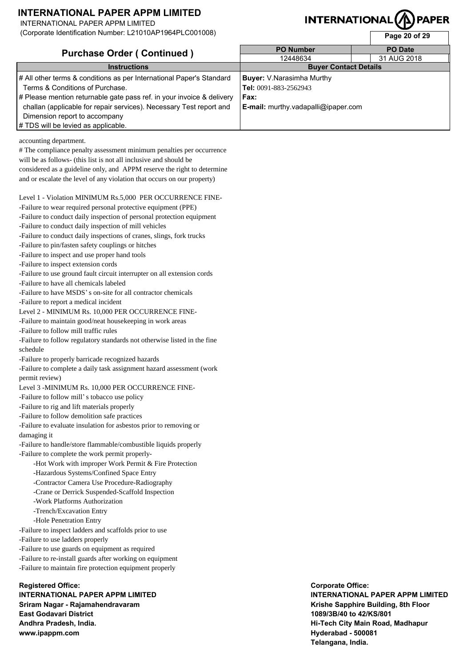INTERNATIONAL PAPER APPM LIMITED

(Corporate Identification Number: L21010AP1964PLC001008)

# **INTERNATIONAL**

**Page 20 of 29** 

| <b>Purchase Order (Continued)</b>                                     | <b>PO Number</b>                           | <b>PO</b> Date |
|-----------------------------------------------------------------------|--------------------------------------------|----------------|
|                                                                       | 12448634                                   | 31 AUG 2018    |
| <b>Instructions</b>                                                   | <b>Buyer Contact Details</b>               |                |
| # All other terms & conditions as per International Paper's Standard  | <b>Buyer:</b> V.Narasimha Murthy           |                |
| Terms & Conditions of Purchase.                                       | Tel: 0091-883-2562943                      |                |
| # Please mention returnable gate pass ref. in your invoice & delivery | Fax:                                       |                |
| challan (applicable for repair services). Necessary Test report and   | <b>E-mail:</b> murthy.vadapalli@ipaper.com |                |
| Dimension report to accompany                                         |                                            |                |
| # TDS will be levied as applicable.                                   |                                            |                |

accounting department.

# The compliance penalty assessment minimum penalties per occurrence will be as follows- (this list is not all inclusive and should be considered as a guideline only, and APPM reserve the right to determine and or escalate the level of any violation that occurs on our property)

Level 1 - Violation MINIMUM Rs.5,000 PER OCCURRENCE FINE-

-Failure to wear required personal protective equipment (PPE)

-Failure to conduct daily inspection of personal protection equipment

-Failure to conduct daily inspection of mill vehicles

-Failure to conduct daily inspections of cranes, slings, fork trucks

-Failure to pin/fasten safety couplings or hitches

-Failure to inspect and use proper hand tools

-Failure to inspect extension cords

-Failure to use ground fault circuit interrupter on all extension cords

-Failure to have all chemicals labeled

-Failure to have MSDS's on-site for all contractor chemicals

-Failure to report a medical incident

Level 2 - MINIMUM Rs. 10,000 PER OCCURRENCE FINE-

-Failure to maintain good/neat housekeeping in work areas

-Failure to follow mill traffic rules

-Failure to follow regulatory standards not otherwise listed in the fine schedule

-Failure to properly barricade recognized hazards

-Failure to complete a daily task assignment hazard assessment (work permit review)

Level 3 -MINIMUM Rs. 10,000 PER OCCURRENCE FINE-

-Failure to follow mill's tobacco use policy

-Failure to rig and lift materials properly

-Failure to follow demolition safe practices

-Failure to evaluate insulation for asbestos prior to removing or damaging it

-Failure to handle/store flammable/combustible liquids properly -Failure to complete the work permit properly-

-Hot Work with improper Work Permit & Fire Protection

-Hazardous Systems/Confined Space Entry

-Contractor Camera Use Procedure-Radiography

-Crane or Derrick Suspended-Scaffold Inspection

-Work Platforms Authorization

-Trench/Excavation Entry

-Hole Penetration Entry

-Failure to inspect ladders and scaffolds prior to use

-Failure to use ladders properly

-Failure to use guards on equipment as required

-Failure to re-install guards after working on equipment

-Failure to maintain fire protection equipment properly

**Registered Office:**

**INTERNATIONAL PAPER APPM LIMITED Sriram Nagar - Rajamahendravaram East Godavari District Andhra Pradesh, India. www.ipappm.com**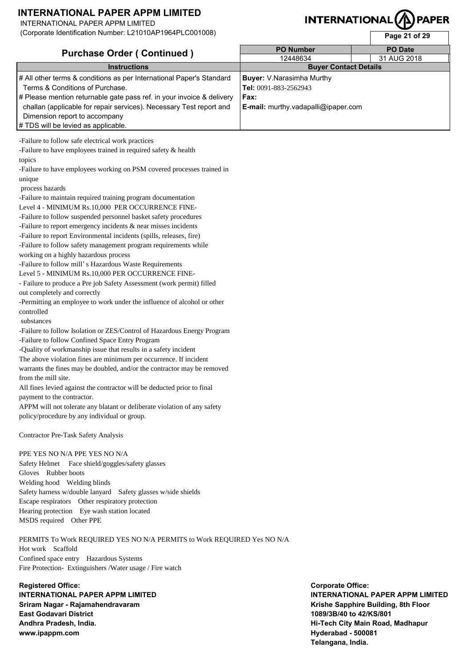INTERNATIONAL PAPER APPM LIMITED

(Corporate Identification Number: L21010AP1964PLC001008)

# **INTERNATIONAL**

**Page 21 of 29** 

| <b>Purchase Order (Continued)</b>                                     | <b>PO Number</b><br><b>PO Date</b>         |             |  |
|-----------------------------------------------------------------------|--------------------------------------------|-------------|--|
|                                                                       | 12448634                                   | 31 AUG 2018 |  |
| <b>Instructions</b>                                                   | <b>Buyer Contact Details</b>               |             |  |
| # All other terms & conditions as per International Paper's Standard  | <b>Buyer:</b> V.Narasimha Murthy           |             |  |
| Terms & Conditions of Purchase.                                       | Tel: 0091-883-2562943                      |             |  |
| # Please mention returnable gate pass ref. in your invoice & delivery | Fax:                                       |             |  |
| challan (applicable for repair services). Necessary Test report and   | <b>E-mail:</b> murthy.vadapalli@ipaper.com |             |  |
| Dimension report to accompany                                         |                                            |             |  |
| # TDS will be levied as applicable.                                   |                                            |             |  |

-Failure to follow safe electrical work practices

-Failure to have employees trained in required safety & health topics

-Failure to have employees working on PSM covered processes trained in unique

process hazards

-Failure to maintain required training program documentation

Level 4 - MINIMUM Rs.10,000 PER OCCURRENCE FINE-

-Failure to follow suspended personnel basket safety procedures

-Failure to report emergency incidents & near misses incidents

-Failure to report Environmental incidents (spills, releases, fire)

-Failure to follow safety management program requirements while

working on a highly hazardous process

-Failure to follow mill's Hazardous Waste Requirements Level 5 - MINIMUM Rs.10,000 PER OCCURRENCE FINE-

- Failure to produce a Pre job Safety Assessment (work permit) filled out completely and correctly

-Permitting an employee to work under the influence of alcohol or other controlled

substances

-Failure to follow Isolation or ZES/Control of Hazardous Energy Program -Failure to follow Confined Space Entry Program

-Quality of workmanship issue that results in a safety incident

The above violation fines are minimum per occurrence. If incident

warrants the fines may be doubled, and/or the contractor may be removed from the mill site.

All fines levied against the contractor will be deducted prior to final payment to the contractor.

APPM will not tolerate any blatant or deliberate violation of any safety policy/procedure by any individual or group.

Contractor Pre-Task Safety Analysis

PPE YES NO N/A PPE YES NO N/A

Safety Helmet Face shield/goggles/safety glasses Gloves Rubber boots Welding hood Welding blinds Safety harness w/double lanyard Safety glasses w/side shields Escape respirators Other respiratory protection Hearing protection Eye wash station located MSDS required Other PPE

PERMITS To Work REQUIRED YES NO N/A PERMITS to Work REQUIRED Yes NO N/A Hot work Scaffold Confined space entry Hazardous Systems Fire Protection- Extinguishers /Water usage / Fire watch

**Registered Office: INTERNATIONAL PAPER APPM LIMITED Sriram Nagar - Rajamahendravaram East Godavari District Andhra Pradesh, India. www.ipappm.com**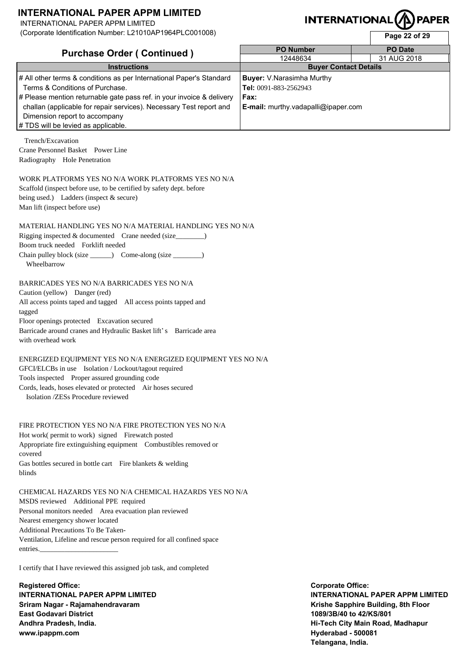INTERNATIONAL PAPER APPM LIMITED

(Corporate Identification Number: L21010AP1964PLC001008)

### INTERNATIONAL **PAPER**

|                        |  | Page 22 of 29  |  |
|------------------------|--|----------------|--|
| <b>PO Number</b>       |  | <b>PO</b> Date |  |
| 12448634               |  | 31 AUG 2018    |  |
| Dinian Cantant Datalla |  |                |  |

|                                                                       |                                     | <b>Faye 22 UI 25</b> |
|-----------------------------------------------------------------------|-------------------------------------|----------------------|
| <b>Purchase Order (Continued)</b>                                     | <b>PO Number</b>                    | PO Date              |
|                                                                       | 12448634                            | 31 AUG 2018          |
| <b>Instructions</b>                                                   | <b>Buyer Contact Details</b>        |                      |
| # All other terms & conditions as per International Paper's Standard  | <b>Buyer:</b> V.Narasimha Murthy    |                      |
| Terms & Conditions of Purchase.                                       | Tel: 0091-883-2562943               |                      |
| # Please mention returnable gate pass ref. in your invoice & delivery | Fax:                                |                      |
| challan (applicable for repair services). Necessary Test report and   | E-mail: murthy.vadapalli@ipaper.com |                      |
| Dimension report to accompany                                         |                                     |                      |
| # TDS will be levied as applicable.                                   |                                     |                      |
| Trench/Excavation                                                     |                                     |                      |
| Crane Personnel Basket Power Line                                     |                                     |                      |
| Radiography Hole Penetration                                          |                                     |                      |
|                                                                       |                                     |                      |
| WORK PLATFORMS YES NO N/A WORK PLATFORMS YES NO N/A                   |                                     |                      |
| Scaffold (inspect before use, to be certified by safety dept. before  |                                     |                      |
| being used.) Ladders (inspect $&$ secure)                             |                                     |                      |
| Man lift (inspect before use)                                         |                                     |                      |
|                                                                       |                                     |                      |
| MATERIAL HANDLING YES NO N/A MATERIAL HANDLING YES NO N/A             |                                     |                      |
| Rigging inspected $\&$ documented Crane needed (size $\qquad$ )       |                                     |                      |
| Boom truck needed Forklift needed                                     |                                     |                      |
| Chain pulley block (size _______) Come-along (size ________)          |                                     |                      |
| Wheelbarrow                                                           |                                     |                      |
|                                                                       |                                     |                      |

#### BARRICADES YES NO N/A BARRICADES YES NO N/A

Caution (yellow) Danger (red) All access points taped and tagged All access points tapped and tagged Floor openings protected Excavation secured Barricade around cranes and Hydraulic Basket lift's Barricade area with overhead work

ENERGIZED EQUIPMENT YES NO N/A ENERGIZED EQUIPMENT YES NO N/A GFCI/ELCBs in use Isolation / Lockout/tagout required Tools inspected Proper assured grounding code Cords, leads, hoses elevated or protected Air hoses secured Isolation /ZESs Procedure reviewed

#### FIRE PROTECTION YES NO N/A FIRE PROTECTION YES NO N/A Hot work( permit to work) signed Firewatch posted Appropriate fire extinguishing equipment Combustibles removed or covered Gas bottles secured in bottle cart Fire blankets  $&$  welding blinds

CHEMICAL HAZARDS YES NO N/A CHEMICAL HAZARDS YES NO N/A MSDS reviewed Additional PPE required Personal monitors needed Area evacuation plan reviewed Nearest emergency shower located Additional Precautions To Be Taken-Ventilation, Lifeline and rescue person required for all confined space entries.

I certify that I have reviewed this assigned job task, and completed

**Registered Office: INTERNATIONAL PAPER APPM LIMITED Sriram Nagar - Rajamahendravaram East Godavari District Andhra Pradesh, India. www.ipappm.com**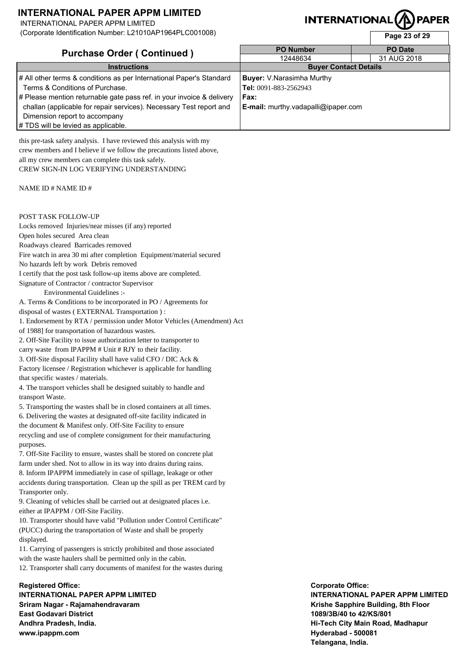INTERNATIONAL PAPER APPM LIMITED

(Corporate Identification Number: L21010AP1964PLC001008)

# **INTERNATIONAL**

**Page 23 of 29** 

| <b>Purchase Order (Continued)</b>                                     | <b>PO Number</b>                           | <b>PO</b> Date |
|-----------------------------------------------------------------------|--------------------------------------------|----------------|
|                                                                       | 12448634                                   | 31 AUG 2018    |
| <b>Instructions</b>                                                   | <b>Buyer Contact Details</b>               |                |
| # All other terms & conditions as per International Paper's Standard  | <b>Buyer:</b> V.Narasimha Murthy           |                |
| Terms & Conditions of Purchase.                                       | Tel: 0091-883-2562943                      |                |
| # Please mention returnable gate pass ref. in your invoice & delivery | Fax:                                       |                |
| challan (applicable for repair services). Necessary Test report and   | <b>E-mail:</b> murthy.vadapalli@ipaper.com |                |
| Dimension report to accompany                                         |                                            |                |
| # TDS will be levied as applicable.                                   |                                            |                |

this pre-task safety analysis. I have reviewed this analysis with my crew members and I believe if we follow the precautions listed above, all my crew members can complete this task safely. CREW SIGN-IN LOG VERIFYING UNDERSTANDING

#### NAME ID # NAME ID #

#### POST TASK FOLLOW-UP

Locks removed Injuries/near misses (if any) reported Open holes secured Area clean Roadways cleared Barricades removed Fire watch in area 30 mi after completion Equipment/material secured No hazards left by work Debris removed

I certify that the post task follow-up items above are completed.

Signature of Contractor / contractor Supervisor

Environmental Guidelines :-

A. Terms & Conditions to be incorporated in PO / Agreements for

disposal of wastes ( EXTERNAL Transportation ) :

1. Endorsement by RTA / permission under Motor Vehicles (Amendment) Act

of 1988] for transportation of hazardous wastes.

2. Off-Site Facility to issue authorization letter to transporter to carry waste from IPAPPM # Unit # RJY to their facility.

3. Off-Site disposal Facility shall have valid CFO / DIC Ack & Factory licensee / Registration whichever is applicable for handling that specific wastes / materials.

4. The transport vehicles shall be designed suitably to handle and transport Waste.

5. Transporting the wastes shall be in closed containers at all times. 6. Delivering the wastes at designated off-site facility indicated in the document & Manifest only. Off-Site Facility to ensure recycling and use of complete consignment for their manufacturing purposes.

7. Off-Site Facility to ensure, wastes shall be stored on concrete plat farm under shed. Not to allow in its way into drains during rains. 8. Inform IPAPPM immediately in case of spillage, leakage or other accidents during transportation. Clean up the spill as per TREM card by Transporter only.

9. Cleaning of vehicles shall be carried out at designated places i.e. either at IPAPPM / Off-Site Facility.

10. Transporter should have valid "Pollution under Control Certificate" (PUCC) during the transportation of Waste and shall be properly displayed.

11. Carrying of passengers is strictly prohibited and those associated with the waste haulers shall be permitted only in the cabin. 12. Transporter shall carry documents of manifest for the wastes during

**Registered Office: INTERNATIONAL PAPER APPM LIMITED Sriram Nagar - Rajamahendravaram East Godavari District Andhra Pradesh, India. www.ipappm.com**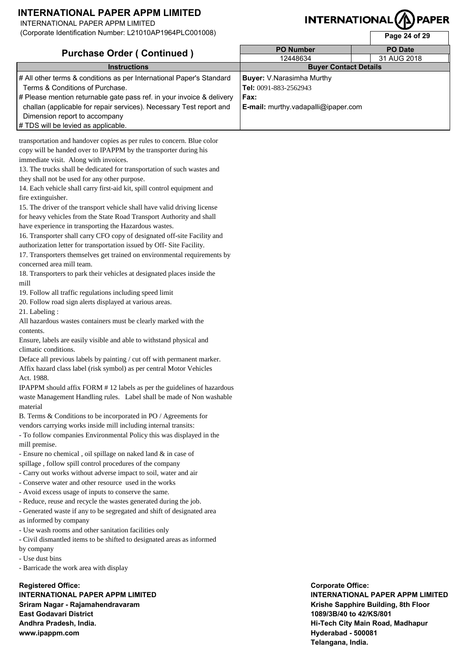INTERNATIONAL PAPER APPM LIMITED

(Corporate Identification Number: L21010AP1964PLC001008)

# **INTERNATIONAL**

**Page 24 of 29** 

| <b>Purchase Order (Continued)</b>                                     | <b>PO Number</b>                    | <b>PO Date</b> |
|-----------------------------------------------------------------------|-------------------------------------|----------------|
|                                                                       | 12448634                            | 31 AUG 2018    |
| <b>Instructions</b>                                                   | <b>Buyer Contact Details</b>        |                |
| # All other terms & conditions as per International Paper's Standard  | <b>Buyer:</b> V.Narasimha Murthy    |                |
| Terms & Conditions of Purchase.                                       | Tel: 0091-883-2562943               |                |
| # Please mention returnable gate pass ref. in your invoice & delivery | Fax:                                |                |
| challan (applicable for repair services). Necessary Test report and   | E-mail: murthy.vadapalli@ipaper.com |                |
| Dimension report to accompany                                         |                                     |                |
| # TDS will be levied as applicable.                                   |                                     |                |

transportation and handover copies as per rules to concern. Blue color copy will be handed over to IPAPPM by the transporter during his immediate visit. Along with invoices.

13. The trucks shall be dedicated for transportation of such wastes and they shall not be used for any other purpose.

14. Each vehicle shall carry first-aid kit, spill control equipment and fire extinguisher.

15. The driver of the transport vehicle shall have valid driving license for heavy vehicles from the State Road Transport Authority and shall have experience in transporting the Hazardous wastes.

16. Transporter shall carry CFO copy of designated off-site Facility and authorization letter for transportation issued by Off- Site Facility.

17. Transporters themselves get trained on environmental requirements by concerned area mill team.

18. Transporters to park their vehicles at designated places inside the mill

19. Follow all traffic regulations including speed limit

20. Follow road sign alerts displayed at various areas.

21. Labeling :

All hazardous wastes containers must be clearly marked with the contents.

Ensure, labels are easily visible and able to withstand physical and climatic conditions.

Deface all previous labels by painting / cut off with permanent marker. Affix hazard class label (risk symbol) as per central Motor Vehicles Act. 1988.

IPAPPM should affix FORM # 12 labels as per the guidelines of hazardous waste Management Handling rules. Label shall be made of Non washable material

B. Terms & Conditions to be incorporated in PO / Agreements for vendors carrying works inside mill including internal transits:

- To follow companies Environmental Policy this was displayed in the mill premise.

- Ensure no chemical , oil spillage on naked land & in case of spillage , follow spill control procedures of the company

- Carry out works without adverse impact to soil, water and air
- Conserve water and other resource used in the works
- Avoid excess usage of inputs to conserve the same.
- Reduce, reuse and recycle the wastes generated during the job.

- Generated waste if any to be segregated and shift of designated area as informed by company

- Use wash rooms and other sanitation facilities only

- Civil dismantled items to be shifted to designated areas as informed by company

- Use dust bins

- Barricade the work area with display

**Registered Office: INTERNATIONAL PAPER APPM LIMITED Sriram Nagar - Rajamahendravaram East Godavari District Andhra Pradesh, India. www.ipappm.com**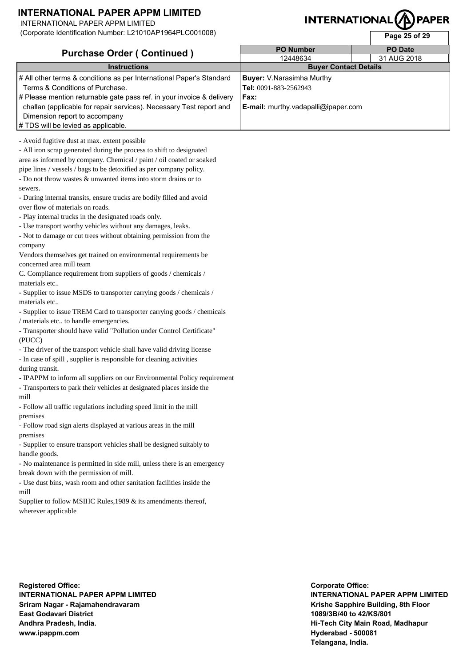INTERNATIONAL PAPER APPM LIMITED

(Corporate Identification Number: L21010AP1964PLC001008)

# **INTERNATIONAL**

**Page 25 of 29** 

| <b>Purchase Order (Continued)</b>                                     | <b>PO Number</b>                           | <b>PO</b> Date |
|-----------------------------------------------------------------------|--------------------------------------------|----------------|
|                                                                       | 12448634                                   | 31 AUG 2018    |
| <b>Instructions</b>                                                   | <b>Buyer Contact Details</b>               |                |
| # All other terms & conditions as per International Paper's Standard  | <b>Buyer:</b> V.Narasimha Murthy           |                |
| Terms & Conditions of Purchase.                                       | Tel: 0091-883-2562943                      |                |
| # Please mention returnable gate pass ref. in your invoice & delivery | Fax:                                       |                |
| challan (applicable for repair services). Necessary Test report and   | <b>E-mail:</b> murthy.vadapalli@ipaper.com |                |
| Dimension report to accompany                                         |                                            |                |
| # TDS will be levied as applicable.                                   |                                            |                |

- Avoid fugitive dust at max. extent possible

- All iron scrap generated during the process to shift to designated area as informed by company. Chemical / paint / oil coated or soaked pipe lines / vessels / bags to be detoxified as per company policy. - Do not throw wastes & unwanted items into storm drains or to

sewers.

- During internal transits, ensure trucks are bodily filled and avoid over flow of materials on roads.

- Play internal trucks in the designated roads only.

- Use transport worthy vehicles without any damages, leaks.

- Not to damage or cut trees without obtaining permission from the company

Vendors themselves get trained on environmental requirements be concerned area mill team

C. Compliance requirement from suppliers of goods / chemicals / materials etc..

- Supplier to issue MSDS to transporter carrying goods / chemicals / materials etc..

- Supplier to issue TREM Card to transporter carrying goods / chemicals / materials etc.. to handle emergencies.

- Transporter should have valid "Pollution under Control Certificate" (PUCC)

- The driver of the transport vehicle shall have valid driving license

- In case of spill , supplier is responsible for cleaning activities during transit.

- IPAPPM to inform all suppliers on our Environmental Policy requirement - Transporters to park their vehicles at designated places inside the mill

- Follow all traffic regulations including speed limit in the mill premises

- Follow road sign alerts displayed at various areas in the mill premises

- Supplier to ensure transport vehicles shall be designed suitably to handle goods.

- No maintenance is permitted in side mill, unless there is an emergency break down with the permission of mill.

- Use dust bins, wash room and other sanitation facilities inside the mill

Supplier to follow MSIHC Rules, 1989 & its amendments thereof, wherever applicable

**Registered Office: INTERNATIONAL PAPER APPM LIMITED Sriram Nagar - Rajamahendravaram East Godavari District Andhra Pradesh, India. www.ipappm.com**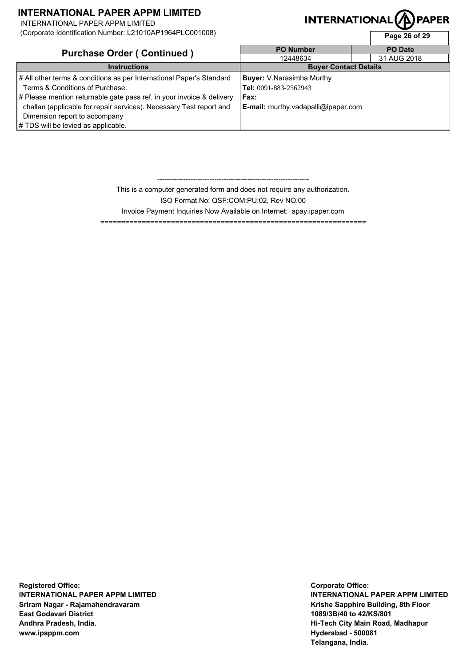INTERNATIONAL PAPER APPM LIMITED

(Corporate Identification Number: L21010AP1964PLC001008)

### **PAPER INTERNATIONAL**

| (Corporate identification Number: L21010AP1964PLC001008)              |                                            | Page 26 of 29  |  |
|-----------------------------------------------------------------------|--------------------------------------------|----------------|--|
| <b>Purchase Order (Continued)</b>                                     | <b>PO Number</b>                           | <b>PO</b> Date |  |
|                                                                       | 12448634                                   | 31 AUG 2018    |  |
| <b>Instructions</b>                                                   | <b>Buyer Contact Details</b>               |                |  |
| # All other terms & conditions as per International Paper's Standard  | <b>Buyer:</b> V.Narasimha Murthy           |                |  |
| Terms & Conditions of Purchase.                                       | Tel: 0091-883-2562943                      |                |  |
| # Please mention returnable gate pass ref. in your invoice & delivery | Fax:                                       |                |  |
| challan (applicable for repair services). Necessary Test report and   | <b>E-mail:</b> murthy.vadapalli@ipaper.com |                |  |
| Dimension report to accompany                                         |                                            |                |  |
| # TDS will be levied as applicable.                                   |                                            |                |  |

This is a computer generated form and does not require any authorization. ISO Format No: QSF:COM:PU:02, Rev NO.00 Invoice Payment Inquiries Now Available on Internet: apay.ipaper.com

----------------------------------------------------------------

================================================================

**Registered Office: INTERNATIONAL PAPER APPM LIMITED Sriram Nagar - Rajamahendravaram East Godavari District Andhra Pradesh, India. www.ipappm.com**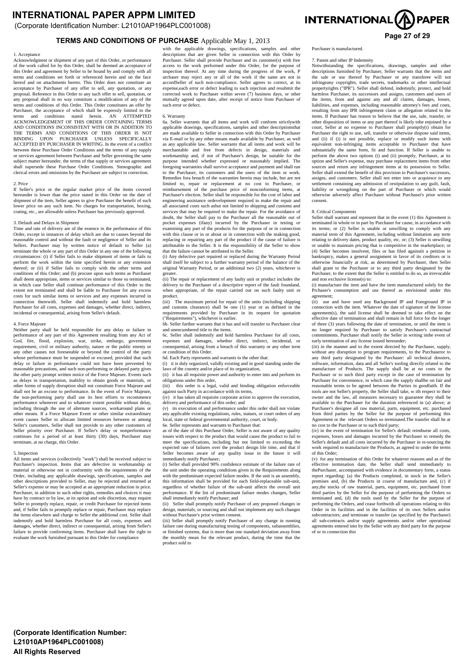(Corporate Identification Number: L21010AP1964PLC001008)

# **Page 27 of 29 TERMS AND CONDITIONS OF PURCHASE** Applicable May 1, 2013

#### 1. Acceptance

Acknowledgment or shipment of any part of this Order, or performance of the work called for by this Order, shall be deemed an acceptance of this Order and agreement by Seller to be bound by and comply with all terms and conditions set forth or referenced herein and on the face hereof and on attachments hereto. This Order does not constitute an acceptance by Purchaser of any offer to sell, any quotation, or any proposal. Reference in this Order to any such offer to sell, quotation, or any proposal shall in no way constitute a modification of any of the terms and conditions of this Order. This Order constitutes an offer by Purchaser, the acceptance of which shall be expressly limited to the terms and conditions stated herein. AN ATTEMPTED ACKNOWLEDGEMENT OF THIS ORDER CONTAINING TERMS AND CONDITIONS INCONSISTENT WITH OR IN ADDITION TO THE TERMS AND CONDITIONS OF THIS ORDER IS NOT BINDING UPON PURCHASER UNLESS SPECIFICALLY ACCEPTED BY PURCHASER IN WRITING. In the event of a conflict between these Purchase Order Conditions and the terms of any supply or services agreement between Purchaser and Seller governing the same subject matter hereunder, the terms of that supply or services agreement shall supersede these Purchase Order Conditions. Stenographic and clerical errors and omissions by the Purchaser are subject to correction.

#### 2. Price

If Seller's price or the regular market price of the items covered hereunder is lower than the price stated in this Order on the date of shipment of the item, Seller agrees to give Purchaser the benefit of such lower price on any such item. No charges for transportation, boxing, crating, etc., are allowable unless Purchaser has previously approved.

#### 3. Default and Delays in Shipment

Time and rate of delivery are of the essence in the performance of this Order, except in instances of delay which are due to causes beyond the reasonable control and without the fault or negligence of Seller and its Sellers. Purchaser may by written notice of default to Seller (a) terminate the whole or any part of this Order in any one of the following circumstances: (i) if Seller fails to make shipment of items or fails to perform the work within the time specified herein or any extension thereof; or (ii) if Seller fails to comply with the other terms and conditions of this Order; and (b) procure upon such terms as Purchaser shall deem appropriate, items or services similar to those so terminated. in which case Seller shall continue performance of this Order to the extent not terminated and shall be liable to Purchaser for any excess costs for such similar items or services and any expenses incurred in connection therewith. Seller shall indemnify and hold harmless Purchaser for all costs, expenses and damages, whether direct, indirect, incidental or consequential, arising from Seller's default.

#### 4. Force Majeure

Neither party shall be held responsible for any delay or failure in performance of any part of this Agreement resulting from any Act of God, fire, flood, explosion, war, strike, embargo, government requirement, civil or military authority, nature or the public enemy or any other causes not foreseeable or beyond the control of the party whose performance must be suspended or excused, provided that such delay or failure in performance could not have been prevented by reasonable precautions, and such non-performing or delayed party gives the other party prompt written notice of the Force Majeure. Events such as delays in transportation, inability to obtain goods or materials, or other forms of supply disruption shall not constitute Force Majeure and shall not be an excuse to performance. In the event of Force Majeure, the non-performing party shall use its best efforts to recommence performance whenever and to whatever extent possible without delay, including through the use of alternate sources, workaround plans or other means. If a Force Majeure Event or other similar extraordinary event causes Seller to allocate limited resources between or among Seller's customers, Seller shall not provide to any other customers of Seller priority over Purchaser. If Seller's delay or nonperformance continues for a period of at least thirty (30) days, Purchaser may terminate, at no charge, this Order.

#### 5. Inspection

All items and services (collectively "work") shall be received subject to Purchaser's inspection. Items that are defective in workmanship or material or otherwise not in conformity with the requirements of the Order, including any applicable drawings, specifications, samples and other descriptions provided to Seller, may be rejected and returned at Seller's expense or may be accepted at an appropriate reduction in price. Purchaser, in addition to such other rights, remedies and choices it may have by contract or by law, at its option and sole discretion, may require Seller to promptly replace, repair, or credit Purchaser for rejected items and, if Seller fails to promptly replace or repair, Purchaser may replace the items elsewhere and charge to Seller the additional cost. Seller shall indemnify and hold harmless Purchaser for all costs, expenses and damages, whether direct, indirect or consequential, arising from Seller's failure to provide conforming items. Purchaser shall have the right to evaluate the work furnished pursuant to this Order for compliance

with the applicable drawings, specifications, samples and other descriptions that are given Seller in connection with this Order by Purchaser. Seller shall provide Purchaser and its customer(s) with free access to the work performed under this Order, for the purpose of inspection thereof. At any time during the progress of the work, P urchaser may reject any or all of the work if the same are not in accordSeller of such non-compliance. Seller agrees to correct, at its expense,each error or defect leading to such rejection and resubmit the corrected work to Purchaser within seven (7) business days, or other mutually agreed upon date, after receipt of notice from Purchaser of such error or defect.

#### 6. Warranty

6a. Seller warrants that all items and work will conform strictlywith applicable drawings, specifications, samples and other descriptionsthat are made available to Seller in connection with this Order by Purchaser via E-mail or by any other means made available by Purchaser, as well as any applicable law. Seller warrants that all items and work will be merchantable and free from defects in design, materials and workmanship and, if not of Purchaser's design, be suitable for the purpose intended whether expressed or reasonably implied. The foregoing warranties shall survive acceptance and payment and shall run to the Purchaser, its customers and the users of the item or work. Remedies fora breach of the warranties herein may include, but are not limited to, repair or replacement at no cost to Purchaser, or reimbursement of the purchase price of nonconforming items, at Purchaser's election. Seller shall be responsible for the cost of labor and engineering assistance ordevelopment required to make the repair and all associated costs such asbut not limited to shipping and customs and services that may be required to make the repair. For the avoidance of doubt, the Seller shall pay to the Purchaser all the reasonable out of pocket expenses (ifany) incurred by the Purchaser in testing or examining any part of the products for the purpose of or in connection with this clause or in or about or in connection with the making good, replacing or repairing any part of the product if the cause of failure is attributable to the Seller. It is the responsibility of the Seller to show that the failure cannot be attributed to the Seller.

(i) Any defective part repaired or replaced during the Warranty Period shall itself be subject to a further warranty period of the balance of the original Warranty Period, or an additional two (2) years, whichever is greater.

(ii) The repair or replacement of any faulty unit or product includes the delivery to the Purchaser of a descriptive report of the fault foundand, when appropriate, of the repair carried out on such faulty unit or product.

The maximum period for repair of the units (including shipping and customs clearance) shall be one (1) year or as defined in the requirements provided by Purchaser in its request for quotation ("Requirements"), whichever is earlier.

6b. Seller further warrants that it has and will transfer to Purchaser clear and unencumbered title to the items.

6c. Seller shall indemnify and hold harmless Purchaser for all costs, expenses and damages, whether direct, indirect, incidental, or consequential, arising from a breach of this warranty or any other term or condition of this Order.

6d. Each Party represents and warrants to the other that:

(i) it is duly organized, validly existing and in good standing under the laws of the country and/or place of its organization,

(ii) it has all requisite power and authority to enter into and perform its obligations under this order,<br>(iii) this order is a legal

this order is a legal, valid and binding obligation enforceable against such Party in accordance with its terms, (iv) it has taken all requisite corporate action to approve the execution,

delivery and performance of this order; and

(v) its execution of and performance under this order shall not violate any applicable existing regulations, rules, statues, or court orders of any local, state or federal governmental authority, court, or body. 6e. Seller represents and warrants to Purchaser that:

as of the date of this Purchase Order, Seller is not aware of any quality issues with respect to the product that would cause the product to fail to meet the specifications, including but not limited to exceeding the expected rate of failures over the product design life time, and that if Seller becomes aware of any quality issue in the future it will immediately notify Purchaser;

(i) Seller shall provided 90% confidence estimate of the failure rate of the unit under the operating conditions given in the Requirements along with the predominant expected failure modes. If the unit is an assembly, this information shall be provided for each field-replaceable sub-unit, regardless of whether failure of the sub-unit affects the overall unit performance. If the list of predominant failure modes changes, Seller shall immediately notify Purchaser; and

(ii) Seller shall promptly notify Purchaser of any proposed changes in design, materials, or sourcing and shall not implement any such changes without Purchaser's prior written consent.

(iii) Seller shall promptly notify Purchaser of any change in running failure rate during manufacturing testing of components, subassemblies, or finished systems, that is more than one standard deviation away from the monthly mean for the relevant product, during the time that the product sold to



Purchaser is manufactured.

#### 7. Patent and other IP Indemnity

Notwithstanding the specifications, drawings, samples and other descriptions furnished by Purchaser, Seller warrants that the items and the sale or use thereof by Purchaser or any transferee will not infringeany copyrights, trade secrets, trademarks or other intellectual propertyrights ("IPR"). Seller shall defend, indemnify, protect, and hold harmless Purchaser, its successors and assigns, customers and users of the items, from and against any and all claims, damages, losses, liabilities, and expenses, including reasonable attorney's fees and costs, resulting from any IPR infringement claim or allegation related to the items. If Purchaser has reason to believe that the use, sale, transfer, or other disposition of items or any part thereof is likely tobe enjoined by a court, Seller at no expense to Purchaser shall promptly(i) obtain for Purchaser the right to use, sell, transfer or otherwise dispose said items, and (ii) if (i) is not possible, replace or modify such items with equivalent non-infringing items acceptable to Purchaser that have substantially the same form, fit and function. If Seller is unable to perform the above two options (i) and (ii) promptly, Purchaser, at its option and Seller's expense, may purchase replacement items from other sources and return any infringement items at its possession to Seller. Seller shall extend the benefit of this provision to Purchaser's successors, assigns, and customers. Seller shall not enter into or acquiesce to any settlement containing any admission of orstipulation to any guilt, fault, liability or wrongdoing on the part of Purchaser or which would otherwise adversely affect Purchaser without Purchaser's prior written consent.

#### 8. Critical Components

Seller shall warrant and represent that in the event (1) this Agreement is terminated in whole or in part by Purchaser for cause, in accordance with its terms; or (2) Seller is unable or unwilling to comply with any material term of this Agreement, including without limitation any term relating to delivery dates, product quality, etc. or; (3) Seller is unwilling or unable to maintain pricing that is competitive in the marketplace; or (4) Seller becomes insolvent, files or has filed againstit a petition in bankruptcy, makes a general assignment in favor of its creditors or is otherwise financially at risk, as determined by Purchaser, then Seller shall grant to the Purchaser or to any third party designated by the Purchaser, to the extent that the Seller is entitled to do so, an irrevocable and non exclusive license(s) to:

(i) manufacture the item and have the item manufactured solely for the Prchaser's consumption and use thereof as envisioned under this agreement;

use and have used any Background IP and Foreground IP in connection with the item. Whatever the date of signature of the license agreement(s), the said license shall be deemed to take effect on the effective date of termination and shall remain in full force for the longer of three (3) years following the date of termination, or until the item is no longer required by Purchaser to satisfy Purchaser's contractual commitments. Purchaser shall notify the Seller in writing inthe event of early termination of any license issued hereunder; (iii) in the manner and to the extent directed by the Purchaser, supply,

without any disruption to program requirements, to the Purchaseror to any third party designated by the Purchaser: all technical dossiers, software, information, data and all Seller's tooling directly related to the manufacture of Products. The supply shall be at no costs to the Purchaser or to such third party except in the case of termination by Purchaser for convenience, in which case the supply shallbe on fair and reasonable terms to be agreed between the Parties in goodfaith. If the tools are not Seller's property, the Seller shall take, w ith respect to their owner and the law, all measures necessary to guarantee they shall be available to the Purchaser for the duration referenced in (a) above; at Purchaser's designee all raw material, parts, equipment, etc. purchased from third parties by the Seller for the purpose of performing this Agreement or the relevant Orders so terminated.The transfer shall be at

no cost to the Purchaser or to such third party; (iv) in the event of termination for Seller's default reimburse all costs, expenses, losses and damages incurred by the Purchaser to remedy the Seller's default and all costs incurred by the Purchaser in re-sourcing the work required to manufacture the Products, as agreed to under the terms of this Order;

(v) for any termination of this Order for whatever reasons and as of the effective termination date, the Seller shall send immediately to thePurchaser, accompanied with evidence in documentary form, a status report regarding: (a) the Products completed, in stock in the Seller's premises and, (b) the Products in course of manufacture and, (c) if any, the stocks of raw material, parts, equipment, etc. purchased from third portion has Sellar for the numero of performing the Orders as the second parties by the Seller for the purpose of performing the Orders so terminated and, (d) the tools used by the Seller for the purpose of performing the Orders, and cease forthwith all operations relating to this Order in its facilities and in the facilities of its own Sellers and/or subcontractors; and terminate or transfer (as specified by the Purchaser) all sub-contracts and/or supply agreements and/or other operational agreements entered into by the Seller with any third party for the purpose of or in connection this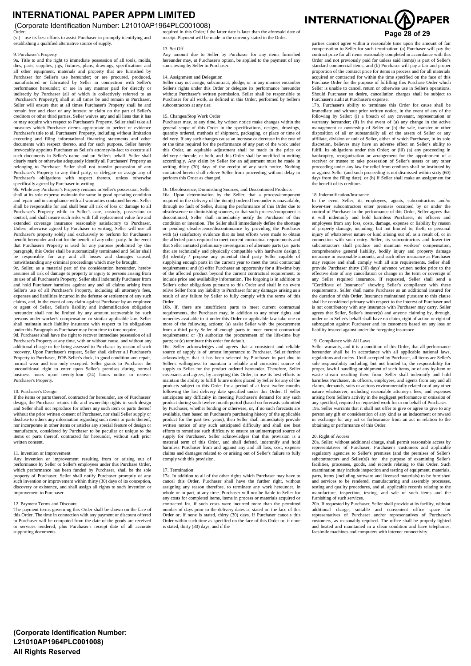(Corporate Identification Number: L21010AP1964PLC001008)

establishing a qualified alternative source of supply.

9. Purchaser's Property 9a. Title to and the right to immediate possession of all tools, molds, dies, parts, supplies, jigs, fixtures, plans, drawings, specifications and all other equipment, materials and property that are furnished by Purchaser for Seller's use hereunder; or are procured, produced, manufactured or fabricated by Seller in connection with Seller's performance hereunder; or are in any manner paid for directly or indirectly by Purchaser (all of which is collectively referred to as "Purchaser's Property'); shall at all times be and remain in Purchaser. Seller will ensure that at all times Purchaser's Property shall be and remain free and clear of any interest or claim on the part of Seller's creditors or other third parties. Seller waives any and all liens that it has or may acquire with respect to Purchaser's Property. Seller shall take all measures which Purchaser deems appropriate to perfect or evidence Purchaser's title to all Purchasers' Property, including without limitation executing and filing informational financing statements and other documents with respect thereto, and for such purpose, Seller hereby irrevocably appoints Purchaser as Seller's attorney-in-fact to execute all such documents in Seller's name and on Seller's behalf. Seller shall clearly mark or otherwise adequately identify all Purchasers' Property as belonging to Purchaser. Seller shall not transfer possession of any Purchaser's Property to any third party, or delegate or assign any of Purchaser's obligations with respect thereto, unless otherwise

specifically agreed by Purchaser in writing. 9b. While any Purchaser's Property remains in Seller's possession, Seller shall at its sole expense maintain the same in good operating condition and repair and in compliance with all warranties contained herein. Seller shall be responsible for and shall bear all risk of loss or damage to all Purchaser's Property while in Seller's care, custody, possession or control, and shall insure such risks with full replacement value fire and extended coverage insurance reasonably satisfactory to Purchaser. Unless otherwise agreed by Purchaser in writing, Seller will use all Purchaser's property solely and exclusively to perform for Purchaser's benefit hereunder and not for the benefit of any other party. In the event that Purchaser's Property is used for any purpose prohibited by this paragraph, this Order shall be automatically terminated and Seller shall be responsible for any and all losses and damages caused, notwithstanding any criminal proceedings which may be brought.

9c. Seller, as a material part of the consideration hereunder, hereby assumes all risk of damage to property or injury to persons arising from its use of all Purchaser's Property. Seller shall indemnify Purchaser from and hold Purchaser harmless against any and all claims arising from Seller's use of all Purchaser's Property, including all attorney's fees, expenses and liabilities incurred in the defense or settlement of any such claims, and, in the event of any claim against Purchaser by an employee or agent of Seller, Seller's liability and indemnification obligation hereunder shall not be limited by any amount recoverable by such persons under worker's compensation or similar applicable law. Seller shall maintain such liability insurance with respect to its obligations

under this Paragraph as Purchaser may from time to time require. 9d. Purchaser shall have the right to recover immediate possession of all Purchaser's Property at any time, with or without cause, and without any additional charge or fee being assessed to Purchaser by reason of such recovery. Upon Purchaser's request, Seller shall deliver all Purchaser's Property to Purchaser, FOB Seller's dock, in good condition and repair, normal wear and tear only excepted. Seller grants to Purchaser the unconditional right to enter upon Seller's premises during normal business hours upon twenty-four (24) hours notice to recover Purchaser's Property.

#### 10. Purchaser's Design

If the items or parts thereof, contracted for hereunder, are of Purchasers' design, the Purchaser retains title and ownership rights in such design Seller shall not reproduce for others any such item or parts thereof without the prior written consent of Purchaser, nor shall Seller supply or disclose to others any information regarding such items or parts thereof, nor incorporate in other items or articles any special feature of design or manufacture, considered by Purchaser to be peculiar or unique to the items or parts thereof, contracted for hereunder, without such prior written consent.

#### 11. Invention or Improvement

Any invention or improvement resulting from or arising out of performance by Seller or Seller's employees under this Purchase Order, which performance has been funded by Purchaser, shall be the sole property of Purchaser. Seller shall notify Purchaser promptly of any such invention or improvement within thirty  $(30)$  days of its conception, discovery or existence, and shall assign all rights to such invention or improvement to Purchaser.

#### 12. Payment Terms and Discount

The payment terms governing this Order shall be shown on the face of this Order. The time in connection with any payment or discount offered to Purchaser will be computed from the date of the goods are received or services rendered, plus Purchaser's receipt date of all accurate supporting documents

Order; Cruber; Cruber; It also provided in this Order, if the latter date is later than the aforesaid date of **Page 28 of 29 Page 28 of 29 Page 28 of 29** required in this Order,if the latter date is later than the aforesaid date of required in this security and all the currency stated in the Order.

13. Set Off Any amount due to Seller by Purchaser for any items furnished hereunder may, at Purchaser's option, be applied to the payment of any sums owing by Seller to Purchaser.

#### 14. Assignment and Delegation

Seller may not assign, subcontract, pledge, or in any manner encumber Seller's rights under this Order or delegate its performance hereunder without Purchaser's written permission. Seller shall be responsible to Purchaser for all work, as defined in this Order, performed by Seller's subcontractors at any tier.

#### 15. Changes/Stop Work Order

Purchaser may, at any time, by written notice make changes within the general scope of this Order in the specifications, designs, drawings, quantity ordered, methods of shipment, packaging, or place or time of delivery. If any such changes cause an increase or decrease in the cost of or the time required for the performance of any part of the work under this Order, an equitable adjustment shall be made in the price or delivery schedule, or both, and this Order shall be modified in writing accordingly. Any claim by Seller for an adjustment must be made in writing thirty (30) days of the receipt of any such notice. Nothing contained herein shall relieve Seller from proceeding without delay to perform this Order as changed.

#### 16. Obsolescence, Diminishing Sources, and Discontinued Products

16a. Upon determination by the Seller, that a process/component required in the delivery of the item(s) ordered hereunder is unavailable. through no fault of Seller, during the performance of this Order due to obsolescence or diminishing sources, or that such process/component is immediately notify the Purchaser condition or intention. The Seller shall immediately define the shortage or pending obsolescence/discontinuance by providing the Purchaser with (a) satisfactory evidence that its best efforts were made to obtain the affected parts required to meet current contractual requirements and that Seller initiated preliminary investigation of alternate parts (i.e. parts that are technically and physically compatible with hardware design.); (b) identify / propose any potential third party Seller capable of supplying enough parts in the current year to meet the total contractual requirements; and (c) offer Purchaser an opportunity for a life-time buy of the affected product beyond the current contractual requirement, to include price and availability information. The forgoing is in addition to Seller's other obligations pursuant to this Order and shall in no event relive Seller from any liability to Purchaser for any damages arising as a result of any failure by Seller to fully comply with the terms of this Order.

16b. If, there are insufficient parts to meet current contractual requirements, the Purchaser may, in addition to any other rights and remedies available to it under this Order or applicable law take one or more of the following actions: (a) assist Seller with the procurement from a third party Seller of enough parts to meet current contractual requirements; or (b) authorize the procurement of the life-time buy parts; or (c) terminate this order for default.

16c. Seller acknowledges and agrees that a consistent and reliable source of supply is of utmost importance to Purchaser. Seller further acknowledges that it has been selected by Purchaser in part due to Seller's willingness to maintain a reliable and consistent source of supply to Seller for the product ordered hereunder. Therefore, Seller covenants and agrees, by accepting this Order, to use its best efforts to maintain the ability to fulfill future orders placed by Seller for any of the products subject to this Order for a period of at least twelve months following the last delivery date specified under this Order. If Seller anticipates any difficulty in meeting Purchaser's demand for any such product during such twelve month period (based on forecasts submitted by Purchaser, whether binding or otherwise, or, if no such forecasts are available, then based on Purchaser's purchasing history of the applicable product for the past two years), then Seller shall immediately provide written notice of any such anticipated difficulty and shall use best efforts to remediate such difficulty to ensure an uninterrupted source of supply for Purchaser. Seller acknowledges that this provision is a material term of this Order, and shall defend, indemnify and hold harmless Purchaser from and against any and all loss, cost, expense claims and damages related to or arising out of Seller's failure to fully comply with this provision.

#### 17. Termination

17a. In addition to all of the other rights which Purchaser may have to cancel this Order, Purchaser shall have the further right, without assigning any reason therefore, to terminate any work hereunder, in in part, at any time. Purchaser will not be liable to Seller for any costs for completed items, items in process or materials acquired or contracted for, if such costs were incurred more than the permitted number of days prior to the delivery dates as stated on the face of this Order or, if none is stated, thirty (30) days. If Purchaser cancels this Order within such time as specified on the face of this Order or, if none is stated, thirty (30) days, and if the

# INTERNATIONAL<sup>(A)</sup> PAPER

parties cannot agree within a reasonable time upon the amount of fair parties cannot agree within a reasonable time apon the amount of fan contract price for all items reasonably completed in accordance with this Order and not previously paid for unless said item(s) is part of Seller's standard commercial items, and (b) Purchaser will pay a fair and proper proportion of the contract price for items in process and for all materials acquired or contracted for within the time specified on the face of this Purchase Order for the purpose of fulfilling this Purchase Order which Seller is unable to cancel, return or otherwise use in Seller's operations. Should Purchaser so desire, cancellation charges shall be subject to Purchaser's audit at Purchaser's expense.

17b. Purchaser's ability to terminate this Order for cause shall be immediate and without prior written notice, in the event of any of the following by Seller: (i) a breach of any covenant, representation or warranty hereunder; (ii) in the event of (a) any change in the active management or ownership of Seller or (b) the sale, transfer or other disposition of all or substantially all of the assets of Seller or any affiliate, division or unit of Seller, either of which Purchaser, in its sole discretion, believes may have an adverse effect on Seller's ability to fulfill its obligations under this Order; or (iii) (a) any proceeding in bankruptcy, reorganization or arrangement for the appointment of a receiver or trustee to take possession of Seller's assets or any other proceeding under any law for relief from creditors shall be instituted by or against Seller (and such proceeding is not dismissed within sixty (60) days from the filing date); or (b) if Seller shall make an assignment for the benefit of its creditors.

#### 18. Indemnification/Insurance

In the event Seller, its employees, agents, subcontractors and/or lower-tier subcontractors enter premises occupied by or under the control of Purchaser in the performance of this Order. Seller agrees that it will indemnify and hold harmless Purchaser, its officers and employees from any loss, costs, damage, expense or liability by reason of property damage, including, but not limited to, theft, or personal injury of whatsoever nature or kind arising out of, as a result of, or in connection with such entry. Seller, its subcontractors and lower-tier subcontractors shall produce and maintain workers' compensation, comprehensive general liability, bodily injury and property damage insurance in reasonable amounts, and such other insurance as Purchaser may require and shall comply with all site requirements. Seller shall provide Purchaser thirty (30) days' advance written notice prior to the effective date of any cancellation or change in the term or coverage of any Seller required insurance. If requested, Seller shall send a "Certificate of Insurance" showing Seller's compliance with these requirements. Seller shall name Purchaser as an additional insured for the duration of this Order. Insurance maintained pursuant to this clause shall be considered primary with respect to the interest of Purchaser and is not contributory with any insurance with Purchaser may carry. Seller agrees that Seller, Seller's insurer(s) and anyone claiming by, through, under or in Seller's behalf shall have no claim, right of action or right of subrogation against Purchaser and its customers based on any loss or liability insured against under the foregoing insurance.

#### 19. Compliance with All Laws

Seller warrants, and it is a condition of this Order, that all performance hereunder shall be in accordance with all applicable national laws, regulations and orders. Until accepted by Purchaser, all items are Seller's sole responsibility including, but not limited to, the responsibility for proper, lawful handling or shipment of such items, or of any by-item or waste stream resulting there from. Seller shall indemnify and hold harmless Purchaser, its officers, employees, and agents from any and all claims, demands, suits or actions environmentally related or of any other nature whatsoever, including reasonable attorney's fees, and expenses arising from Seller's activity in the negligent performance or omission of any specified, required or requested work for or on behalf of Purchaser. 19 a. Seller warrants that it shall not offer to give or agree to give to any person any gift or consideration of any kind as an inducement or reward in exchange for any act or forbearance from an act in relation to the obtaining or performance of this Order.

#### 20. Right of Access

20a. Seller, without additional charge, shall permit reasonable access by representatives of Purchaser, Purchaser's customers and applicable regulatory agencies to Seller's premises (and the premises of Seller's subcontractors and Seller(s)) for the purpose of examining Seller's facilities, processes, goods, and records relating to this Order. Such examination may include inspection and testing of equipment, materials, parts, items (including software and licensed materials) to be furnished and services to be rendered, manufacturing and assembly processes, testing and quality procedures, and all applicable records relating to the manufacture, inspection, testing, and sale of such items and the  $m = \frac{1}{2}$  manufacture, inspection, testing, and  $m = \frac{1}{2}$ furnishing of such services.

20b. If requested by Purchaser, Seller shall provide at its facility, without additional charge, suitable and convenient office space for representatives of Purchaser and/or representatives of Purchaser's customers, as reasonably required. The office shall be properly lighted and heated and maintained in a clean condition and have telephones, facsimile machines and computers with internet connectivity.